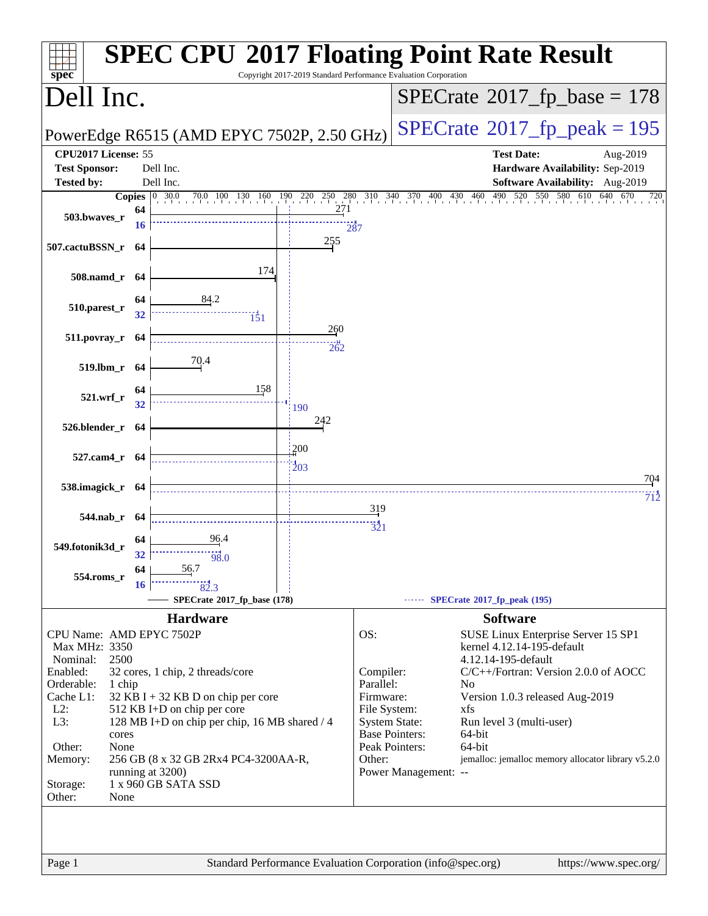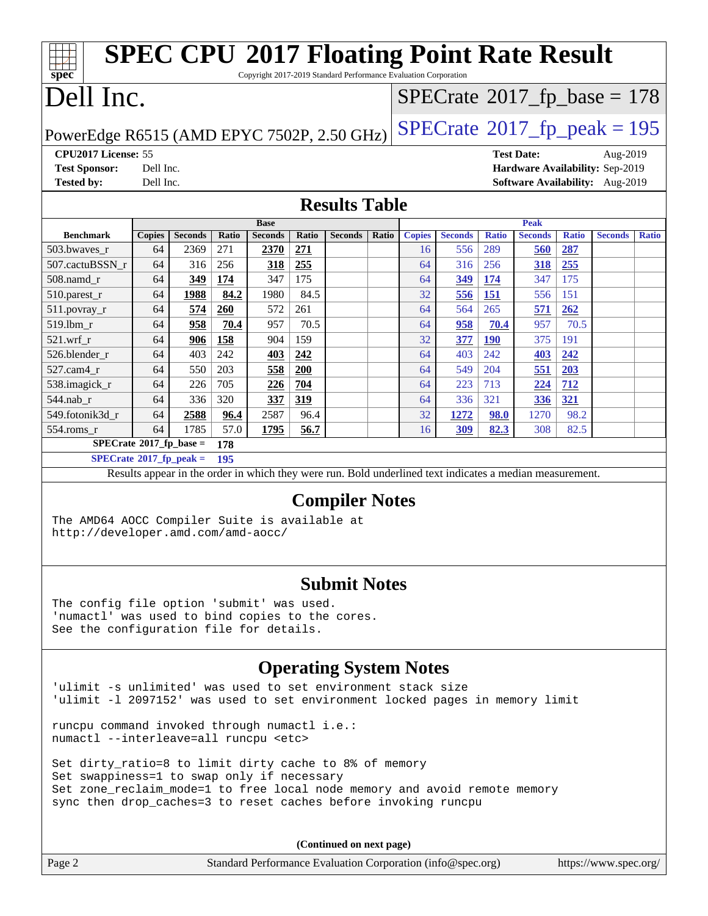| <b>SPEC CPU®2017 Floating Point Rate Result</b><br>Copyright 2017-2019 Standard Performance Evaluation Corporation<br>spec |                                              |                |              |                |              |                |       |               |                |              |                |              |                                 |              |
|----------------------------------------------------------------------------------------------------------------------------|----------------------------------------------|----------------|--------------|----------------|--------------|----------------|-------|---------------|----------------|--------------|----------------|--------------|---------------------------------|--------------|
| Dell Inc.<br>$SPECrate$ <sup>®</sup> 2017_fp_base = 178                                                                    |                                              |                |              |                |              |                |       |               |                |              |                |              |                                 |              |
| $SPECTate@2017_fp\_peak = 195$<br>PowerEdge R6515 (AMD EPYC 7502P, 2.50 GHz)                                               |                                              |                |              |                |              |                |       |               |                |              |                |              |                                 |              |
| CPU2017 License: 55<br><b>Test Date:</b><br>Aug-2019                                                                       |                                              |                |              |                |              |                |       |               |                |              |                |              |                                 |              |
| <b>Test Sponsor:</b>                                                                                                       | Hardware Availability: Sep-2019<br>Dell Inc. |                |              |                |              |                |       |               |                |              |                |              |                                 |              |
| <b>Tested by:</b>                                                                                                          | Dell Inc.                                    |                |              |                |              |                |       |               |                |              |                |              | Software Availability: Aug-2019 |              |
| <b>Results Table</b>                                                                                                       |                                              |                |              |                |              |                |       |               |                |              |                |              |                                 |              |
|                                                                                                                            |                                              |                |              | <b>Base</b>    |              |                |       |               |                |              | <b>Peak</b>    |              |                                 |              |
| <b>Benchmark</b>                                                                                                           | <b>Copies</b>                                | <b>Seconds</b> | <b>Ratio</b> | <b>Seconds</b> | <b>Ratio</b> | <b>Seconds</b> | Ratio | <b>Copies</b> | <b>Seconds</b> | <b>Ratio</b> | <b>Seconds</b> | <b>Ratio</b> | <b>Seconds</b>                  | <b>Ratio</b> |
| 503.bwaves r                                                                                                               | 64                                           | 2369           | 271          | 2370           | 271          |                |       | 16            | 556            | 289          | 560            | 287          |                                 |              |
| 507.cactuBSSN r                                                                                                            | 64                                           | 316            | 256          | 318            | 255          |                |       | 64            | 316            | 256          | 318            | 255          |                                 |              |
| 508.namd_r                                                                                                                 | 64                                           | 349            | 174          | 347            | 175          |                |       | 64            | 349            | 174          | 347            | 175          |                                 |              |
| 510.parest_r                                                                                                               | 64                                           | 1988           | 84.2         | 1980           | 84.5         |                |       | 32            | 556            | <b>151</b>   | 556            | 151          |                                 |              |
| 511.povray_r                                                                                                               | 64                                           | 574            | 260          | 572            | 261          |                |       | 64            | 564            | 265          | 571            | 262          |                                 |              |
| 519.lbm_r                                                                                                                  | 64                                           | 958            | 70.4         | 957            | 70.5         |                |       | 64            | 958            | 70.4         | 957            | 70.5         |                                 |              |
| 521.wrf r                                                                                                                  | 64                                           | 906            | 158          | 904            | 159          |                |       | 32            | 377            | <b>190</b>   | 375            | 191          |                                 |              |
| 526.blender r                                                                                                              | 64                                           | 403            | 242          | 403            | 242          |                |       | 64            | 403            | 242          | 403            | 242          |                                 |              |
| 527.cam4 r                                                                                                                 | 64                                           | 550            | 203          | 558            | 200          |                |       | 64            | 549            | 204          | 551            | 203          |                                 |              |
| 538.imagick_r                                                                                                              | 64                                           | 226            | 705          | 226            | 704          |                |       | 64            | 223            | 713          | 224            | 712          |                                 |              |
| 544.nab_r                                                                                                                  | 64                                           | 336            | 320          | 337            | 319          |                |       | 64            | 336            | 321          | 336            | 321          |                                 |              |
| 549.fotonik3d_r                                                                                                            | 64                                           | 2588           | 96.4         | 2587           | 96.4         |                |       | 32            | 1272           | <b>98.0</b>  | 1270           | 98.2         |                                 |              |
| 554.roms r                                                                                                                 | 64                                           | 1785           | 57.0         | 1795           | 56.7         |                |       | 16            | 309            | 82.3         | 308            | 82.5         |                                 |              |
| $SPECrate$ <sup>®</sup> 2017_fp_base =                                                                                     |                                              |                | 178          |                |              |                |       |               |                |              |                |              |                                 |              |
| $SPECrate^{\circ}2017$ _fp_peak =                                                                                          |                                              |                | 195          |                |              |                |       |               |                |              |                |              |                                 |              |
| Results appear in the order in which they were run. Bold underlined text indicates a median measurement.                   |                                              |                |              |                |              |                |       |               |                |              |                |              |                                 |              |
| <b>Compiler Notes</b>                                                                                                      |                                              |                |              |                |              |                |       |               |                |              |                |              |                                 |              |
|                                                                                                                            |                                              |                |              |                |              |                |       |               |                |              |                |              |                                 |              |
| The AMD64 AOCC Compiler Suite is available at<br>http://developer.amd.com/amd-aocc/                                        |                                              |                |              |                |              |                |       |               |                |              |                |              |                                 |              |
| <b>Submit Notes</b>                                                                                                        |                                              |                |              |                |              |                |       |               |                |              |                |              |                                 |              |

The config file option 'submit' was used. 'numactl' was used to bind copies to the cores. See the configuration file for details.

### **[Operating System Notes](http://www.spec.org/auto/cpu2017/Docs/result-fields.html#OperatingSystemNotes)**

'ulimit -s unlimited' was used to set environment stack size 'ulimit -l 2097152' was used to set environment locked pages in memory limit

runcpu command invoked through numactl i.e.: numactl --interleave=all runcpu <etc>

Set dirty\_ratio=8 to limit dirty cache to 8% of memory Set swappiness=1 to swap only if necessary Set zone\_reclaim\_mode=1 to free local node memory and avoid remote memory sync then drop\_caches=3 to reset caches before invoking runcpu

| Page 2<br>Standard Performance Evaluation Corporation (info@spec.org)<br>https://www.spec.org/ |  |  |
|------------------------------------------------------------------------------------------------|--|--|
|------------------------------------------------------------------------------------------------|--|--|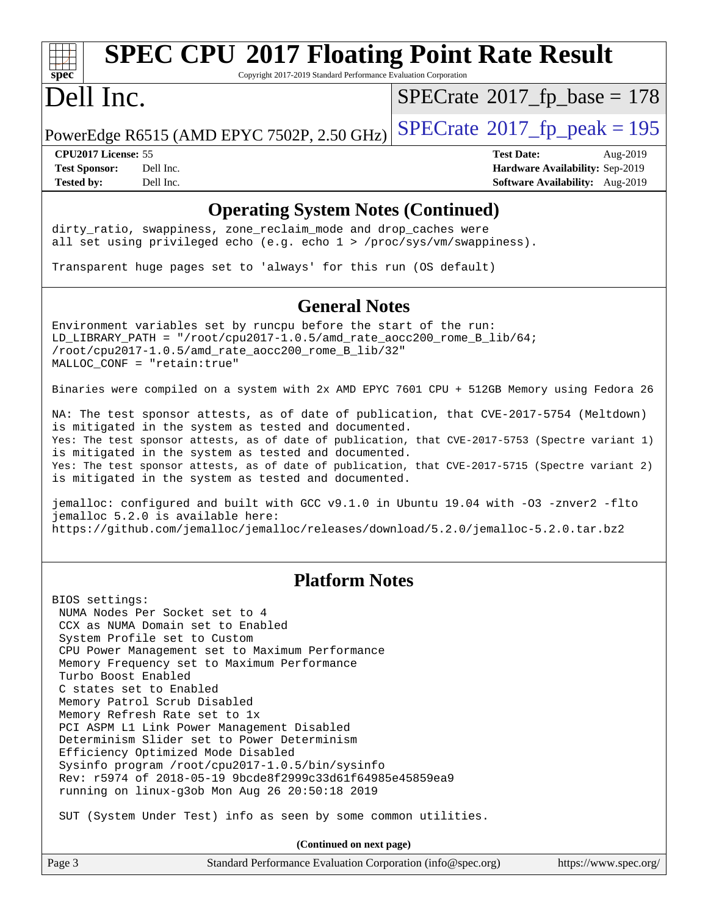# **[spec](http://www.spec.org/)**

# **[SPEC CPU](http://www.spec.org/auto/cpu2017/Docs/result-fields.html#SPECCPU2017FloatingPointRateResult)[2017 Floating Point Rate Result](http://www.spec.org/auto/cpu2017/Docs/result-fields.html#SPECCPU2017FloatingPointRateResult)**

Copyright 2017-2019 Standard Performance Evaluation Corporation

## Dell Inc.

 $SPECTate$ <sup>®</sup>[2017\\_fp\\_base =](http://www.spec.org/auto/cpu2017/Docs/result-fields.html#SPECrate2017fpbase) 178

PowerEdge R6515 (AMD EPYC 7502P, 2.50 GHz)  $\left|$  [SPECrate](http://www.spec.org/auto/cpu2017/Docs/result-fields.html#SPECrate2017fppeak)<sup>®</sup>[2017\\_fp\\_peak = 1](http://www.spec.org/auto/cpu2017/Docs/result-fields.html#SPECrate2017fppeak)95

**[Tested by:](http://www.spec.org/auto/cpu2017/Docs/result-fields.html#Testedby)** Dell Inc. **[Software Availability:](http://www.spec.org/auto/cpu2017/Docs/result-fields.html#SoftwareAvailability)** Aug-2019

**[CPU2017 License:](http://www.spec.org/auto/cpu2017/Docs/result-fields.html#CPU2017License)** 55 **[Test Date:](http://www.spec.org/auto/cpu2017/Docs/result-fields.html#TestDate)** Aug-2019 **[Test Sponsor:](http://www.spec.org/auto/cpu2017/Docs/result-fields.html#TestSponsor)** Dell Inc. **[Hardware Availability:](http://www.spec.org/auto/cpu2017/Docs/result-fields.html#HardwareAvailability)** Sep-2019

### **[Operating System Notes \(Continued\)](http://www.spec.org/auto/cpu2017/Docs/result-fields.html#OperatingSystemNotes)**

dirty\_ratio, swappiness, zone\_reclaim\_mode and drop caches were all set using privileged echo (e.g. echo 1 > /proc/sys/vm/swappiness).

Transparent huge pages set to 'always' for this run (OS default)

### **[General Notes](http://www.spec.org/auto/cpu2017/Docs/result-fields.html#GeneralNotes)**

Environment variables set by runcpu before the start of the run: LD\_LIBRARY\_PATH = "/root/cpu2017-1.0.5/amd\_rate\_aocc200\_rome\_B\_lib/64; /root/cpu2017-1.0.5/amd\_rate\_aocc200\_rome\_B\_lib/32" MALLOC\_CONF = "retain:true"

Binaries were compiled on a system with 2x AMD EPYC 7601 CPU + 512GB Memory using Fedora 26

NA: The test sponsor attests, as of date of publication, that CVE-2017-5754 (Meltdown) is mitigated in the system as tested and documented. Yes: The test sponsor attests, as of date of publication, that CVE-2017-5753 (Spectre variant 1) is mitigated in the system as tested and documented. Yes: The test sponsor attests, as of date of publication, that CVE-2017-5715 (Spectre variant 2) is mitigated in the system as tested and documented.

jemalloc: configured and built with GCC v9.1.0 in Ubuntu 19.04 with -O3 -znver2 -flto jemalloc 5.2.0 is available here: <https://github.com/jemalloc/jemalloc/releases/download/5.2.0/jemalloc-5.2.0.tar.bz2>

### **[Platform Notes](http://www.spec.org/auto/cpu2017/Docs/result-fields.html#PlatformNotes)**

BIOS settings: NUMA Nodes Per Socket set to 4 CCX as NUMA Domain set to Enabled System Profile set to Custom CPU Power Management set to Maximum Performance Memory Frequency set to Maximum Performance Turbo Boost Enabled C states set to Enabled Memory Patrol Scrub Disabled Memory Refresh Rate set to 1x PCI ASPM L1 Link Power Management Disabled Determinism Slider set to Power Determinism Efficiency Optimized Mode Disabled Sysinfo program /root/cpu2017-1.0.5/bin/sysinfo Rev: r5974 of 2018-05-19 9bcde8f2999c33d61f64985e45859ea9 running on linux-g3ob Mon Aug 26 20:50:18 2019

SUT (System Under Test) info as seen by some common utilities.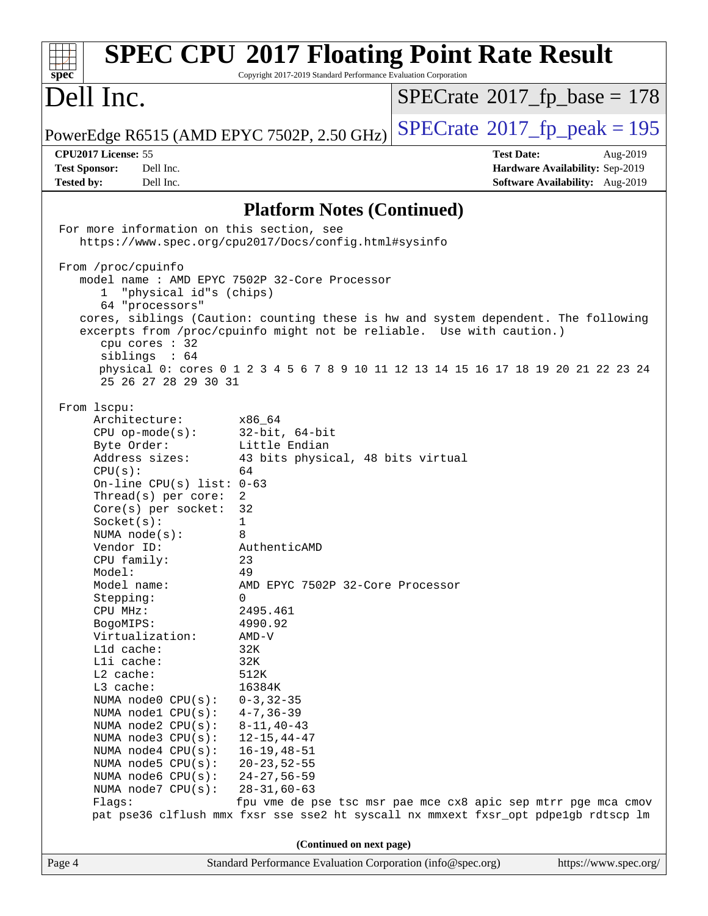| <b>SPEC CPU®2017 Floating Point Rate Result</b><br>spec<br>Copyright 2017-2019 Standard Performance Evaluation Corporation |                                                             |                                                                                     |  |  |  |  |
|----------------------------------------------------------------------------------------------------------------------------|-------------------------------------------------------------|-------------------------------------------------------------------------------------|--|--|--|--|
| Dell Inc.                                                                                                                  |                                                             | $SPECrate^{\circ}2017$ [p base = 178                                                |  |  |  |  |
| PowerEdge R6515 (AMD EPYC 7502P, 2.50 GHz)                                                                                 |                                                             | $SPECrate$ <sup>®</sup> 2017_fp_peak = 195                                          |  |  |  |  |
| CPU2017 License: 55                                                                                                        |                                                             | <b>Test Date:</b><br>Aug-2019                                                       |  |  |  |  |
| <b>Test Sponsor:</b><br>Dell Inc.                                                                                          |                                                             | Hardware Availability: Sep-2019                                                     |  |  |  |  |
| <b>Tested by:</b><br>Dell Inc.                                                                                             |                                                             | Software Availability: Aug-2019                                                     |  |  |  |  |
|                                                                                                                            | <b>Platform Notes (Continued)</b>                           |                                                                                     |  |  |  |  |
| For more information on this section, see                                                                                  |                                                             |                                                                                     |  |  |  |  |
| https://www.spec.org/cpu2017/Docs/config.html#sysinfo                                                                      |                                                             |                                                                                     |  |  |  |  |
| From /proc/cpuinfo                                                                                                         |                                                             |                                                                                     |  |  |  |  |
|                                                                                                                            | model name : AMD EPYC 7502P 32-Core Processor               |                                                                                     |  |  |  |  |
| "physical id"s (chips)<br>$\mathbf{1}$<br>64 "processors"                                                                  |                                                             |                                                                                     |  |  |  |  |
|                                                                                                                            |                                                             | cores, siblings (Caution: counting these is hw and system dependent. The following  |  |  |  |  |
|                                                                                                                            |                                                             | excerpts from /proc/cpuinfo might not be reliable. Use with caution.)               |  |  |  |  |
| cpu cores : 32<br>siblings : 64                                                                                            |                                                             |                                                                                     |  |  |  |  |
| 25 26 27 28 29 30 31                                                                                                       |                                                             | physical 0: cores 0 1 2 3 4 5 6 7 8 9 10 11 12 13 14 15 16 17 18 19 20 21 22 23 24  |  |  |  |  |
|                                                                                                                            |                                                             |                                                                                     |  |  |  |  |
| From 1scpu:<br>Architecture:                                                                                               | x86 64                                                      |                                                                                     |  |  |  |  |
| $CPU$ op-mode( $s$ ):                                                                                                      | $32$ -bit, $64$ -bit                                        |                                                                                     |  |  |  |  |
| Byte Order:                                                                                                                | Little Endian                                               |                                                                                     |  |  |  |  |
| Address sizes:                                                                                                             | 43 bits physical, 48 bits virtual                           |                                                                                     |  |  |  |  |
| CPU(s):                                                                                                                    | 64                                                          |                                                                                     |  |  |  |  |
| On-line CPU(s) list: $0-63$<br>Thread( $s$ ) per core:                                                                     | 2                                                           |                                                                                     |  |  |  |  |
| $Core(s)$ per socket:                                                                                                      | 32                                                          |                                                                                     |  |  |  |  |
| Socket(s):                                                                                                                 | 1                                                           |                                                                                     |  |  |  |  |
| NUMA $node(s)$ :                                                                                                           | 8                                                           |                                                                                     |  |  |  |  |
| Vendor ID:                                                                                                                 | AuthenticAMD                                                |                                                                                     |  |  |  |  |
| CPU family:<br>Model:                                                                                                      | 23<br>49                                                    |                                                                                     |  |  |  |  |
| Model name:                                                                                                                | AMD EPYC 7502P 32-Core Processor                            |                                                                                     |  |  |  |  |
| Stepping:                                                                                                                  | 0                                                           |                                                                                     |  |  |  |  |
| CPU MHz:                                                                                                                   | 2495.461                                                    |                                                                                     |  |  |  |  |
| BogoMIPS:                                                                                                                  | 4990.92                                                     |                                                                                     |  |  |  |  |
| Virtualization:                                                                                                            | $AMD-V$                                                     |                                                                                     |  |  |  |  |
| L1d cache:<br>Lli cache:                                                                                                   | 32K<br>32K                                                  |                                                                                     |  |  |  |  |
| L2 cache:                                                                                                                  | 512K                                                        |                                                                                     |  |  |  |  |
| L3 cache:                                                                                                                  | 16384K                                                      |                                                                                     |  |  |  |  |
| NUMA node0 CPU(s):                                                                                                         | $0 - 3, 32 - 35$                                            |                                                                                     |  |  |  |  |
| NUMA nodel CPU(s):                                                                                                         | $4 - 7, 36 - 39$                                            |                                                                                     |  |  |  |  |
| NUMA node2 CPU(s):                                                                                                         | $8 - 11, 40 - 43$                                           |                                                                                     |  |  |  |  |
| NUMA $node3$ CPU $(s)$ :<br>NUMA $node4$ $CPU(s):$                                                                         | $12 - 15, 44 - 47$<br>$16 - 19, 48 - 51$                    |                                                                                     |  |  |  |  |
| NUMA node5 CPU(s):                                                                                                         | $20 - 23, 52 - 55$                                          |                                                                                     |  |  |  |  |
| NUMA node6 CPU(s):                                                                                                         | $24 - 27, 56 - 59$                                          |                                                                                     |  |  |  |  |
| NUMA node7 CPU(s):                                                                                                         | $28 - 31, 60 - 63$                                          |                                                                                     |  |  |  |  |
| Flags:                                                                                                                     |                                                             | fpu vme de pse tsc msr pae mce cx8 apic sep mtrr pge mca cmov                       |  |  |  |  |
|                                                                                                                            |                                                             | pat pse36 clflush mmx fxsr sse sse2 ht syscall nx mmxext fxsr_opt pdpe1gb rdtscp lm |  |  |  |  |
|                                                                                                                            | (Continued on next page)                                    |                                                                                     |  |  |  |  |
| Page 4                                                                                                                     | Standard Performance Evaluation Corporation (info@spec.org) | https://www.spec.org/                                                               |  |  |  |  |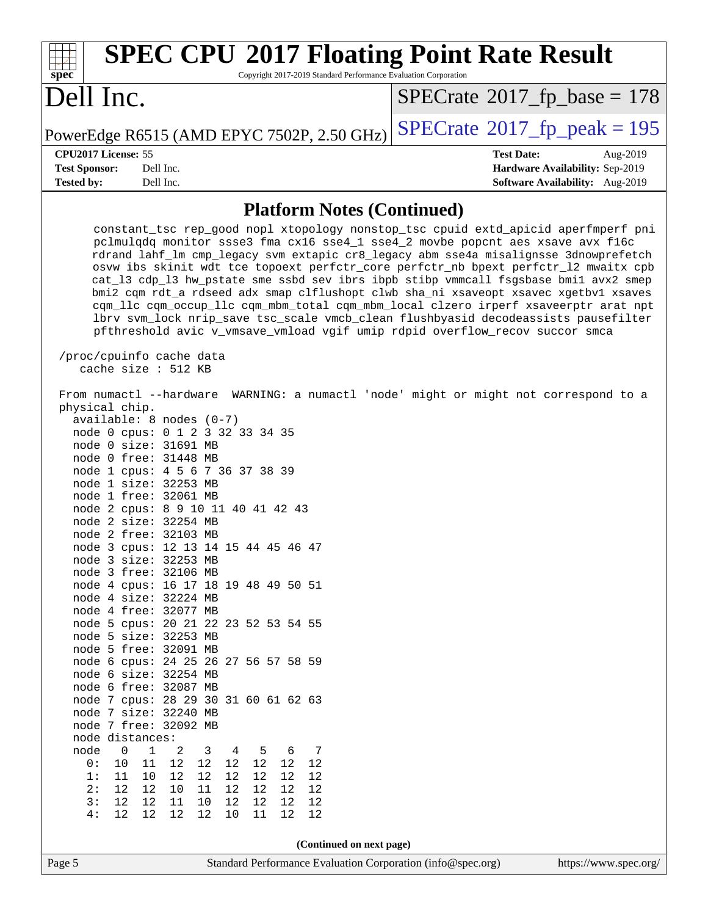| <b>SPEC CPU®2017 Floating Point Rate Result</b><br>Copyright 2017-2019 Standard Performance Evaluation Corporation<br>spec <sup>®</sup>                                                                                                                                                                                                                                                                                                                                                                                                                                                                                                                                                                                                                                                                                                                                                                                                                                                                                                                                                                                                                                            |                                            |
|------------------------------------------------------------------------------------------------------------------------------------------------------------------------------------------------------------------------------------------------------------------------------------------------------------------------------------------------------------------------------------------------------------------------------------------------------------------------------------------------------------------------------------------------------------------------------------------------------------------------------------------------------------------------------------------------------------------------------------------------------------------------------------------------------------------------------------------------------------------------------------------------------------------------------------------------------------------------------------------------------------------------------------------------------------------------------------------------------------------------------------------------------------------------------------|--------------------------------------------|
| Dell Inc.                                                                                                                                                                                                                                                                                                                                                                                                                                                                                                                                                                                                                                                                                                                                                                                                                                                                                                                                                                                                                                                                                                                                                                          | $SPECrate$ <sup>®</sup> 2017_fp_base = 178 |
| PowerEdge R6515 (AMD EPYC 7502P, 2.50 GHz)                                                                                                                                                                                                                                                                                                                                                                                                                                                                                                                                                                                                                                                                                                                                                                                                                                                                                                                                                                                                                                                                                                                                         | $SPECTate@2017_fp\_peak = 195$             |
| CPU2017 License: 55                                                                                                                                                                                                                                                                                                                                                                                                                                                                                                                                                                                                                                                                                                                                                                                                                                                                                                                                                                                                                                                                                                                                                                | <b>Test Date:</b><br>Aug-2019              |
| Dell Inc.<br><b>Test Sponsor:</b>                                                                                                                                                                                                                                                                                                                                                                                                                                                                                                                                                                                                                                                                                                                                                                                                                                                                                                                                                                                                                                                                                                                                                  | Hardware Availability: Sep-2019            |
| <b>Tested by:</b><br>Dell Inc.                                                                                                                                                                                                                                                                                                                                                                                                                                                                                                                                                                                                                                                                                                                                                                                                                                                                                                                                                                                                                                                                                                                                                     | Software Availability: Aug-2019            |
| <b>Platform Notes (Continued)</b>                                                                                                                                                                                                                                                                                                                                                                                                                                                                                                                                                                                                                                                                                                                                                                                                                                                                                                                                                                                                                                                                                                                                                  |                                            |
| constant_tsc rep_good nopl xtopology nonstop_tsc cpuid extd_apicid aperfmperf pni<br>pclmulqdq monitor ssse3 fma cx16 sse4_1 sse4_2 movbe popcnt aes xsave avx f16c<br>rdrand lahf_lm cmp_legacy svm extapic cr8_legacy abm sse4a misalignsse 3dnowprefetch<br>osvw ibs skinit wdt tce topoext perfctr_core perfctr_nb bpext perfctr_12 mwaitx cpb<br>cat_13 cdp_13 hw_pstate sme ssbd sev ibrs ibpb stibp vmmcall fsgsbase bmil avx2 smep<br>bmi2 cqm rdt_a rdseed adx smap clflushopt clwb sha_ni xsaveopt xsavec xgetbvl xsaves<br>cqm_llc cqm_occup_llc cqm_mbm_total cqm_mbm_local clzero irperf xsaveerptr arat npt<br>lbrv svm_lock nrip_save tsc_scale vmcb_clean flushbyasid decodeassists pausefilter<br>pfthreshold avic v_vmsave_vmload vgif umip rdpid overflow_recov succor smca                                                                                                                                                                                                                                                                                                                                                                                     |                                            |
| /proc/cpuinfo cache data<br>cache size : 512 KB                                                                                                                                                                                                                                                                                                                                                                                                                                                                                                                                                                                                                                                                                                                                                                                                                                                                                                                                                                                                                                                                                                                                    |                                            |
| From numactl --hardware WARNING: a numactl 'node' might or might not correspond to a<br>physical chip.<br>available: 8 nodes (0-7)<br>node 0 cpus: 0 1 2 3 32 33 34 35<br>node 0 size: 31691 MB<br>node 0 free: 31448 MB<br>node 1 cpus: 4 5 6 7 36 37 38 39<br>node 1 size: 32253 MB<br>node 1 free: 32061 MB<br>node 2 cpus: 8 9 10 11 40 41 42 43<br>node 2 size: 32254 MB<br>node 2 free: 32103 MB<br>node 3 cpus: 12 13 14 15 44 45 46 47<br>node 3 size: 32253 MB<br>node 3 free: 32106 MB<br>node 4 cpus: 16 17 18 19 48 49 50 51<br>node 4 size: 32224 MB<br>node 4 free: 32077 MB<br>node 5 cpus: 20 21 22 23 52 53 54 55<br>node 5 size: 32253 MB<br>node 5 free: 32091 MB<br>node 6 cpus: 24 25 26 27 56 57 58 59<br>node 6 size: 32254 MB<br>node 6 free: 32087 MB<br>node 7 cpus: 28 29 30 31 60 61 62 63<br>node 7 size: 32240 MB<br>node 7 free: 32092 MB<br>node distances:<br>node<br>$\mathbf 0$<br>1<br>2<br>3<br>5<br>6<br>7<br>4<br>$1\,2$<br>12<br>12<br>0 :<br>10<br>11<br>12<br>12<br>12<br>12<br>1:<br>11<br>12<br>12<br>12<br>12<br>12<br>10<br>2:<br>12<br>10<br>12<br>12<br>12<br>11<br>12<br>12<br>3:<br>12<br>11<br>12<br>12<br>12<br>12<br>12<br>10 |                                            |
|                                                                                                                                                                                                                                                                                                                                                                                                                                                                                                                                                                                                                                                                                                                                                                                                                                                                                                                                                                                                                                                                                                                                                                                    |                                            |
| (Continued on next page)<br>Page 5<br>Standard Performance Evaluation Corporation (info@spec.org)                                                                                                                                                                                                                                                                                                                                                                                                                                                                                                                                                                                                                                                                                                                                                                                                                                                                                                                                                                                                                                                                                  | https://www.spec.org/                      |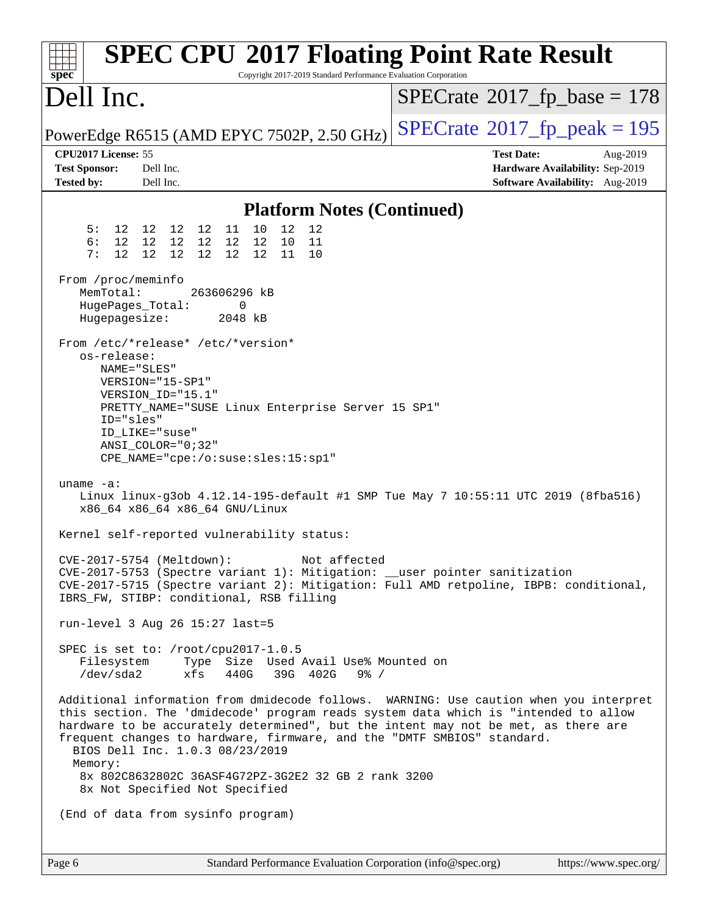| $spec^*$                                                         | <b>SPEC CPU®2017 Floating Point Rate Result</b><br>Copyright 2017-2019 Standard Performance Evaluation Corporation                                                                                                                                                                                                                                                               |                                                                                                     |
|------------------------------------------------------------------|----------------------------------------------------------------------------------------------------------------------------------------------------------------------------------------------------------------------------------------------------------------------------------------------------------------------------------------------------------------------------------|-----------------------------------------------------------------------------------------------------|
| Dell Inc.                                                        |                                                                                                                                                                                                                                                                                                                                                                                  | $SPECrate^{\circ}2017$ _fp_base = 178                                                               |
|                                                                  | PowerEdge R6515 (AMD EPYC 7502P, 2.50 GHz)                                                                                                                                                                                                                                                                                                                                       | $SPECrate^{\circ}2017$ _fp_peak = 195                                                               |
| CPU2017 License: 55<br><b>Test Sponsor:</b><br><b>Tested by:</b> | Dell Inc.<br>Dell Inc.                                                                                                                                                                                                                                                                                                                                                           | <b>Test Date:</b><br>Aug-2019<br>Hardware Availability: Sep-2019<br>Software Availability: Aug-2019 |
|                                                                  | <b>Platform Notes (Continued)</b>                                                                                                                                                                                                                                                                                                                                                |                                                                                                     |
| 5:<br>6:<br>12 <sup>°</sup><br>7 :                               | 10<br>12<br>12 12 12 12<br>11<br>12<br>12 12 12<br>12<br>12 12<br>10<br>11<br>12 12<br>12<br>12<br>12<br>11<br>10                                                                                                                                                                                                                                                                |                                                                                                     |
| From /proc/meminfo<br>MemTotal:<br>Hugepagesize:                 | 263606296 kB<br>0<br>HugePages_Total:<br>2048 kB                                                                                                                                                                                                                                                                                                                                 |                                                                                                     |
| os-release:<br>ID="sles"                                         | From /etc/*release* /etc/*version*<br>NAME="SLES"<br>VERSION="15-SP1"<br>VERSION_ID="15.1"<br>PRETTY_NAME="SUSE Linux Enterprise Server 15 SP1"<br>ID_LIKE="suse"<br>ANSI COLOR="0;32"<br>CPE_NAME="cpe:/o:suse:sles:15:sp1"                                                                                                                                                     |                                                                                                     |
| uname $-a$ :                                                     | Linux linux-g3ob 4.12.14-195-default #1 SMP Tue May 7 10:55:11 UTC 2019 (8fba516)<br>x86_64 x86_64 x86_64 GNU/Linux                                                                                                                                                                                                                                                              |                                                                                                     |
|                                                                  | Kernel self-reported vulnerability status:                                                                                                                                                                                                                                                                                                                                       |                                                                                                     |
|                                                                  | CVE-2017-5754 (Meltdown):<br>Not affected<br>CVE-2017-5753 (Spectre variant 1): Mitigation: __user pointer sanitization<br>IBRS_FW, STIBP: conditional, RSB filling                                                                                                                                                                                                              | CVE-2017-5715 (Spectre variant 2): Mitigation: Full AMD retpoline, IBPB: conditional,               |
|                                                                  | run-level 3 Aug 26 15:27 last=5                                                                                                                                                                                                                                                                                                                                                  |                                                                                                     |
| Filesystem<br>/dev/sda2                                          | SPEC is set to: /root/cpu2017-1.0.5<br>Type Size Used Avail Use% Mounted on<br>xfs<br>440G<br>39G 402G<br>$9\frac{6}{6}$ /                                                                                                                                                                                                                                                       |                                                                                                     |
| Memory:                                                          | this section. The 'dmidecode' program reads system data which is "intended to allow<br>hardware to be accurately determined", but the intent may not be met, as there are<br>frequent changes to hardware, firmware, and the "DMTF SMBIOS" standard.<br>BIOS Dell Inc. 1.0.3 08/23/2019<br>8x 802C8632802C 36ASF4G72PZ-3G2E2 32 GB 2 rank 3200<br>8x Not Specified Not Specified | Additional information from dmidecode follows. WARNING: Use caution when you interpret              |
|                                                                  | (End of data from sysinfo program)                                                                                                                                                                                                                                                                                                                                               |                                                                                                     |
| Page 6                                                           | Standard Performance Evaluation Corporation (info@spec.org)                                                                                                                                                                                                                                                                                                                      | https://www.spec.org/                                                                               |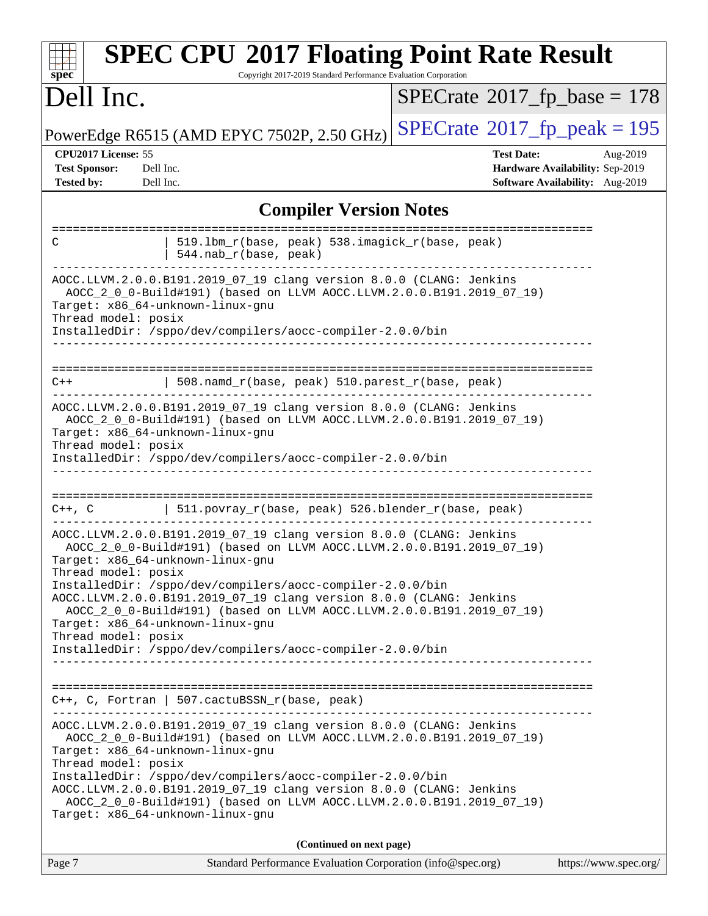| <b>SPEC CPU®2017 Floating Point Rate Result</b><br>Copyright 2017-2019 Standard Performance Evaluation Corporation<br>spec <sup>®</sup>                                                                                                                                                                                                                                                                                                                                                                                                      |                                                                                                     |  |  |  |  |  |  |
|----------------------------------------------------------------------------------------------------------------------------------------------------------------------------------------------------------------------------------------------------------------------------------------------------------------------------------------------------------------------------------------------------------------------------------------------------------------------------------------------------------------------------------------------|-----------------------------------------------------------------------------------------------------|--|--|--|--|--|--|
| Dell Inc.                                                                                                                                                                                                                                                                                                                                                                                                                                                                                                                                    | $SPECrate^{\circ}2017$ fp base = 178                                                                |  |  |  |  |  |  |
| PowerEdge R6515 (AMD EPYC 7502P, 2.50 GHz)                                                                                                                                                                                                                                                                                                                                                                                                                                                                                                   | $SPECrate^{\circledcirc}2017_fp\_peak = 195$                                                        |  |  |  |  |  |  |
| CPU2017 License: 55<br><b>Test Sponsor:</b><br>Dell Inc.<br><b>Tested by:</b><br>Dell Inc.                                                                                                                                                                                                                                                                                                                                                                                                                                                   | <b>Test Date:</b><br>Aug-2019<br>Hardware Availability: Sep-2019<br>Software Availability: Aug-2019 |  |  |  |  |  |  |
| <b>Compiler Version Notes</b>                                                                                                                                                                                                                                                                                                                                                                                                                                                                                                                |                                                                                                     |  |  |  |  |  |  |
| 519.1bm_r(base, peak) 538.imagick_r(base, peak)<br>C<br>544.nab_r(base, peak)                                                                                                                                                                                                                                                                                                                                                                                                                                                                |                                                                                                     |  |  |  |  |  |  |
| AOCC.LLVM.2.0.0.B191.2019_07_19 clang version 8.0.0 (CLANG: Jenkins<br>AOCC_2_0_0-Build#191) (based on LLVM AOCC.LLVM.2.0.0.B191.2019_07_19)<br>Target: x86_64-unknown-linux-gnu<br>Thread model: posix<br>InstalledDir: /sppo/dev/compilers/aocc-compiler-2.0.0/bin                                                                                                                                                                                                                                                                         |                                                                                                     |  |  |  |  |  |  |
| 508.namd_r(base, peak) 510.parest_r(base, peak)<br>C++                                                                                                                                                                                                                                                                                                                                                                                                                                                                                       |                                                                                                     |  |  |  |  |  |  |
| AOCC.LLVM.2.0.0.B191.2019_07_19 clang version 8.0.0 (CLANG: Jenkins<br>AOCC_2_0_0-Build#191) (based on LLVM AOCC.LLVM.2.0.0.B191.2019_07_19)<br>Target: x86_64-unknown-linux-gnu<br>Thread model: posix<br>InstalledDir: /sppo/dev/compilers/aocc-compiler-2.0.0/bin                                                                                                                                                                                                                                                                         |                                                                                                     |  |  |  |  |  |  |
| ==================<br>  $511.povray_r(base, peak) 526.blender_r(base, peak)$<br>$C++$ , $C$                                                                                                                                                                                                                                                                                                                                                                                                                                                  |                                                                                                     |  |  |  |  |  |  |
| AOCC.LLVM.2.0.0.B191.2019_07_19 clang version 8.0.0 (CLANG: Jenkins<br>AOCC_2_0_0-Build#191) (based on LLVM AOCC.LLVM.2.0.0.B191.2019_07_19)<br>Target: x86_64-unknown-linux-gnu<br>Thread model: posix<br>InstalledDir: /sppo/dev/compilers/aocc-compiler-2.0.0/bin<br>AOCC.LLVM.2.0.0.B191.2019_07_19 clang version 8.0.0 (CLANG: Jenkins<br>AOCC_2_0_0-Build#191) (based on LLVM AOCC.LLVM.2.0.0.B191.2019_07_19)<br>Target: x86_64-unknown-linux-gnu<br>Thread model: posix<br>InstalledDir: /sppo/dev/compilers/aocc-compiler-2.0.0/bin |                                                                                                     |  |  |  |  |  |  |
| $C++$ , C, Fortran   507.cactuBSSN_r(base, peak)                                                                                                                                                                                                                                                                                                                                                                                                                                                                                             |                                                                                                     |  |  |  |  |  |  |
| AOCC.LLVM.2.0.0.B191.2019_07_19 clang version 8.0.0 (CLANG: Jenkins<br>AOCC_2_0_0-Build#191) (based on LLVM AOCC.LLVM.2.0.0.B191.2019_07_19)<br>Target: x86_64-unknown-linux-gnu<br>Thread model: posix<br>InstalledDir: /sppo/dev/compilers/aocc-compiler-2.0.0/bin<br>AOCC.LLVM.2.0.0.B191.2019_07_19 clang version 8.0.0 (CLANG: Jenkins<br>AOCC_2_0_0-Build#191) (based on LLVM AOCC.LLVM.2.0.0.B191.2019_07_19)<br>Target: x86_64-unknown-linux-gnu                                                                                     |                                                                                                     |  |  |  |  |  |  |
| (Continued on next page)                                                                                                                                                                                                                                                                                                                                                                                                                                                                                                                     |                                                                                                     |  |  |  |  |  |  |
| Standard Performance Evaluation Corporation (info@spec.org)<br>Page 7                                                                                                                                                                                                                                                                                                                                                                                                                                                                        | https://www.spec.org/                                                                               |  |  |  |  |  |  |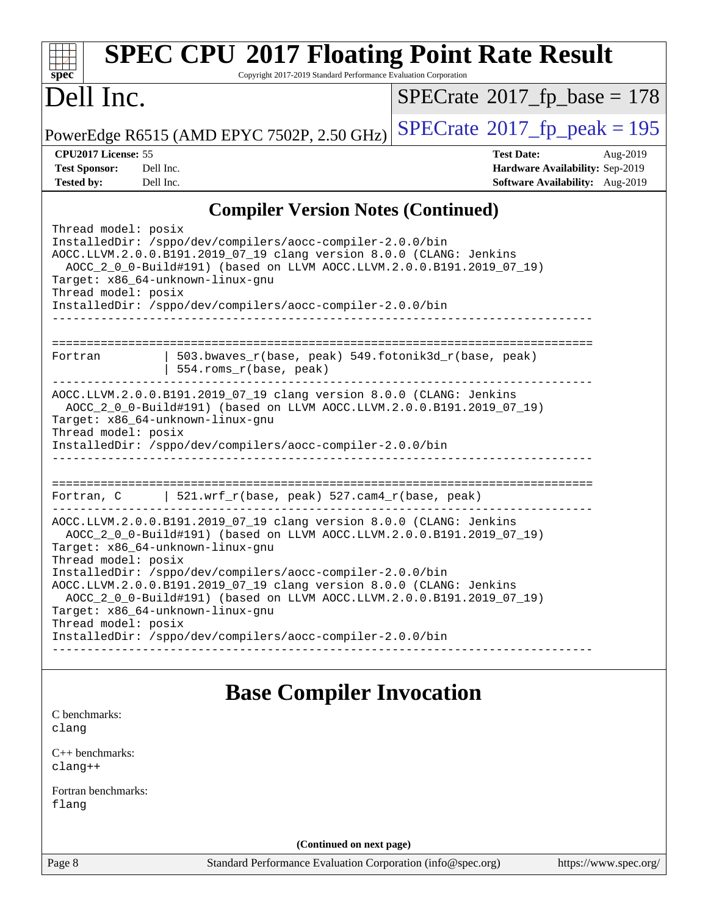| <b>SPEC CPU®2017 Floating Point Rate Result</b><br>Copyright 2017-2019 Standard Performance Evaluation Corporation<br>$spec^*$                                                                                                                                                                                                                           |                                                                                                     |
|----------------------------------------------------------------------------------------------------------------------------------------------------------------------------------------------------------------------------------------------------------------------------------------------------------------------------------------------------------|-----------------------------------------------------------------------------------------------------|
| Dell Inc.                                                                                                                                                                                                                                                                                                                                                | $SPECrate$ <sup>®</sup> 2017_fp_base = 178                                                          |
| PowerEdge R6515 (AMD EPYC 7502P, 2.50 GHz)                                                                                                                                                                                                                                                                                                               | $SPECTate$ <sup>®</sup> 2017_fp_peak = 195                                                          |
| CPU2017 License: 55<br><b>Test Sponsor:</b><br>Dell Inc.<br><b>Tested by:</b><br>Dell Inc.                                                                                                                                                                                                                                                               | <b>Test Date:</b><br>Aug-2019<br>Hardware Availability: Sep-2019<br>Software Availability: Aug-2019 |
| <b>Compiler Version Notes (Continued)</b>                                                                                                                                                                                                                                                                                                                |                                                                                                     |
| Thread model: posix<br>InstalledDir: /sppo/dev/compilers/aocc-compiler-2.0.0/bin<br>AOCC.LLVM.2.0.0.B191.2019_07_19 clang version 8.0.0 (CLANG: Jenkins<br>AOCC_2_0_0-Build#191) (based on LLVM AOCC.LLVM.2.0.0.B191.2019_07_19)<br>Target: x86_64-unknown-linux-gnu<br>Thread model: posix<br>InstalledDir: /sppo/dev/compilers/aocc-compiler-2.0.0/bin |                                                                                                     |
| 503.bwaves_r(base, peak) 549.fotonik3d_r(base, peak)<br>Fortran<br>554.roms_r(base, peak)                                                                                                                                                                                                                                                                |                                                                                                     |
| AOCC.LLVM.2.0.0.B191.2019_07_19 clang version 8.0.0 (CLANG: Jenkins<br>AOCC_2_0_0-Build#191) (based on LLVM AOCC.LLVM.2.0.0.B191.2019_07_19)<br>Target: x86_64-unknown-linux-gnu<br>Thread model: posix<br>InstalledDir: /sppo/dev/compilers/aocc-compiler-2.0.0/bin                                                                                     |                                                                                                     |
| 521.wrf_r(base, peak) 527.cam4_r(base, peak)<br>Fortran, C                                                                                                                                                                                                                                                                                               |                                                                                                     |
| AOCC.LLVM.2.0.0.B191.2019_07_19 clang version 8.0.0 (CLANG: Jenkins<br>AOCC_2_0_0-Build#191) (based on LLVM AOCC.LLVM.2.0.0.B191.2019_07_19)<br>Target: x86_64-unknown-linux-gnu                                                                                                                                                                         |                                                                                                     |
| Thread model: posix<br>InstalledDir: /sppo/dev/compilers/aocc-compiler-2.0.0/bin<br>AOCC.LLVM.2.0.0.B191.2019_07_19 clang version 8.0.0 (CLANG: Jenkins<br>AOCC_2_0_0-Build#191) (based on LLVM AOCC.LLVM.2.0.0.B191.2019_07_19)<br>Target: x86_64-unknown-linux-gnu                                                                                     |                                                                                                     |
| Thread model: posix<br>InstalledDir: /sppo/dev/compilers/aocc-compiler-2.0.0/bin                                                                                                                                                                                                                                                                         |                                                                                                     |
| <b>Base Compiler Invocation</b>                                                                                                                                                                                                                                                                                                                          |                                                                                                     |
| C benchmarks:<br>clang                                                                                                                                                                                                                                                                                                                                   |                                                                                                     |
| $C_{++}$ benchmarks:<br>$clang++$                                                                                                                                                                                                                                                                                                                        |                                                                                                     |
| Fortran benchmarks:<br>flang                                                                                                                                                                                                                                                                                                                             |                                                                                                     |
| (Continued on next page)                                                                                                                                                                                                                                                                                                                                 |                                                                                                     |
| Page 8<br>Standard Performance Evaluation Corporation (info@spec.org)                                                                                                                                                                                                                                                                                    | https://www.spec.org/                                                                               |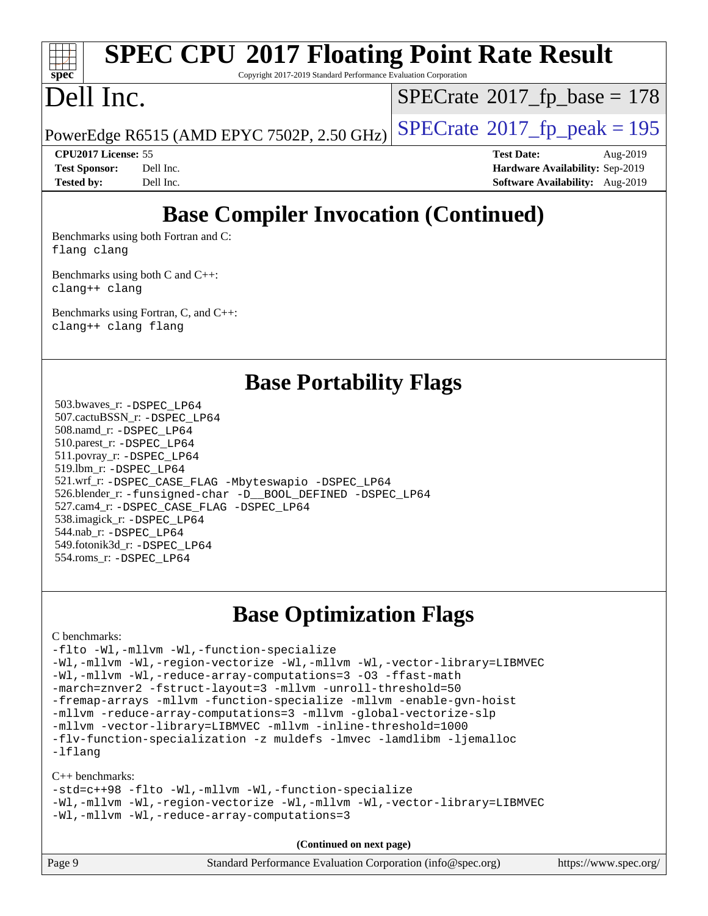# **[spec](http://www.spec.org/)**

# **[SPEC CPU](http://www.spec.org/auto/cpu2017/Docs/result-fields.html#SPECCPU2017FloatingPointRateResult)[2017 Floating Point Rate Result](http://www.spec.org/auto/cpu2017/Docs/result-fields.html#SPECCPU2017FloatingPointRateResult)**

Copyright 2017-2019 Standard Performance Evaluation Corporation

## Dell Inc.

 $SPECTate$ <sup>®</sup>[2017\\_fp\\_base =](http://www.spec.org/auto/cpu2017/Docs/result-fields.html#SPECrate2017fpbase) 178

PowerEdge R6515 (AMD EPYC 7502P, 2.50 GHz)  $\left|$  [SPECrate](http://www.spec.org/auto/cpu2017/Docs/result-fields.html#SPECrate2017fppeak)®[2017\\_fp\\_peak = 1](http://www.spec.org/auto/cpu2017/Docs/result-fields.html#SPECrate2017fppeak)95

**[CPU2017 License:](http://www.spec.org/auto/cpu2017/Docs/result-fields.html#CPU2017License)** 55 **[Test Date:](http://www.spec.org/auto/cpu2017/Docs/result-fields.html#TestDate)** Aug-2019 **[Test Sponsor:](http://www.spec.org/auto/cpu2017/Docs/result-fields.html#TestSponsor)** Dell Inc. **[Hardware Availability:](http://www.spec.org/auto/cpu2017/Docs/result-fields.html#HardwareAvailability)** Sep-2019 **[Tested by:](http://www.spec.org/auto/cpu2017/Docs/result-fields.html#Testedby)** Dell Inc. **[Software Availability:](http://www.spec.org/auto/cpu2017/Docs/result-fields.html#SoftwareAvailability)** Aug-2019

### **[Base Compiler Invocation \(Continued\)](http://www.spec.org/auto/cpu2017/Docs/result-fields.html#BaseCompilerInvocation)**

[Benchmarks using both Fortran and C](http://www.spec.org/auto/cpu2017/Docs/result-fields.html#BenchmarksusingbothFortranandC): [flang](http://www.spec.org/cpu2017/results/res2019q3/cpu2017-20190831-17288.flags.html#user_CC_FCbase_flang) [clang](http://www.spec.org/cpu2017/results/res2019q3/cpu2017-20190831-17288.flags.html#user_CC_FCbase_clang-c)

[Benchmarks using both C and C++](http://www.spec.org/auto/cpu2017/Docs/result-fields.html#BenchmarksusingbothCandCXX): [clang++](http://www.spec.org/cpu2017/results/res2019q3/cpu2017-20190831-17288.flags.html#user_CC_CXXbase_clang-cpp) [clang](http://www.spec.org/cpu2017/results/res2019q3/cpu2017-20190831-17288.flags.html#user_CC_CXXbase_clang-c)

[Benchmarks using Fortran, C, and C++:](http://www.spec.org/auto/cpu2017/Docs/result-fields.html#BenchmarksusingFortranCandCXX) [clang++](http://www.spec.org/cpu2017/results/res2019q3/cpu2017-20190831-17288.flags.html#user_CC_CXX_FCbase_clang-cpp) [clang](http://www.spec.org/cpu2017/results/res2019q3/cpu2017-20190831-17288.flags.html#user_CC_CXX_FCbase_clang-c) [flang](http://www.spec.org/cpu2017/results/res2019q3/cpu2017-20190831-17288.flags.html#user_CC_CXX_FCbase_flang)

### **[Base Portability Flags](http://www.spec.org/auto/cpu2017/Docs/result-fields.html#BasePortabilityFlags)**

 503.bwaves\_r: [-DSPEC\\_LP64](http://www.spec.org/cpu2017/results/res2019q3/cpu2017-20190831-17288.flags.html#suite_baseEXTRA_PORTABILITY503_bwaves_r_DSPEC_LP64) 507.cactuBSSN\_r: [-DSPEC\\_LP64](http://www.spec.org/cpu2017/results/res2019q3/cpu2017-20190831-17288.flags.html#suite_baseEXTRA_PORTABILITY507_cactuBSSN_r_DSPEC_LP64) 508.namd\_r: [-DSPEC\\_LP64](http://www.spec.org/cpu2017/results/res2019q3/cpu2017-20190831-17288.flags.html#suite_baseEXTRA_PORTABILITY508_namd_r_DSPEC_LP64) 510.parest\_r: [-DSPEC\\_LP64](http://www.spec.org/cpu2017/results/res2019q3/cpu2017-20190831-17288.flags.html#suite_baseEXTRA_PORTABILITY510_parest_r_DSPEC_LP64) 511.povray\_r: [-DSPEC\\_LP64](http://www.spec.org/cpu2017/results/res2019q3/cpu2017-20190831-17288.flags.html#suite_baseEXTRA_PORTABILITY511_povray_r_DSPEC_LP64) 519.lbm\_r: [-DSPEC\\_LP64](http://www.spec.org/cpu2017/results/res2019q3/cpu2017-20190831-17288.flags.html#suite_baseEXTRA_PORTABILITY519_lbm_r_DSPEC_LP64) 521.wrf\_r: [-DSPEC\\_CASE\\_FLAG](http://www.spec.org/cpu2017/results/res2019q3/cpu2017-20190831-17288.flags.html#b521.wrf_r_baseCPORTABILITY_DSPEC_CASE_FLAG) [-Mbyteswapio](http://www.spec.org/cpu2017/results/res2019q3/cpu2017-20190831-17288.flags.html#user_baseFPORTABILITY521_wrf_r_F-mbyteswapio_543c39ce38db59bcbc3b888917ef58c313007ae1c27520b689e012995ae261114051d1d5efcb4182d175ce22a6a15532d3a9999882dd2c360e6d853f41da6883) [-DSPEC\\_LP64](http://www.spec.org/cpu2017/results/res2019q3/cpu2017-20190831-17288.flags.html#suite_baseEXTRA_PORTABILITY521_wrf_r_DSPEC_LP64) 526.blender\_r: [-funsigned-char](http://www.spec.org/cpu2017/results/res2019q3/cpu2017-20190831-17288.flags.html#user_baseCPORTABILITY526_blender_r_aocc-unsigned-char) [-D\\_\\_BOOL\\_DEFINED](http://www.spec.org/cpu2017/results/res2019q3/cpu2017-20190831-17288.flags.html#b526.blender_r_baseCXXPORTABILITY_D__BOOL_DEFINED) [-DSPEC\\_LP64](http://www.spec.org/cpu2017/results/res2019q3/cpu2017-20190831-17288.flags.html#suite_baseEXTRA_PORTABILITY526_blender_r_DSPEC_LP64) 527.cam4\_r: [-DSPEC\\_CASE\\_FLAG](http://www.spec.org/cpu2017/results/res2019q3/cpu2017-20190831-17288.flags.html#b527.cam4_r_basePORTABILITY_DSPEC_CASE_FLAG) [-DSPEC\\_LP64](http://www.spec.org/cpu2017/results/res2019q3/cpu2017-20190831-17288.flags.html#suite_baseEXTRA_PORTABILITY527_cam4_r_DSPEC_LP64) 538.imagick\_r: [-DSPEC\\_LP64](http://www.spec.org/cpu2017/results/res2019q3/cpu2017-20190831-17288.flags.html#suite_baseEXTRA_PORTABILITY538_imagick_r_DSPEC_LP64) 544.nab\_r: [-DSPEC\\_LP64](http://www.spec.org/cpu2017/results/res2019q3/cpu2017-20190831-17288.flags.html#suite_baseEXTRA_PORTABILITY544_nab_r_DSPEC_LP64) 549.fotonik3d\_r: [-DSPEC\\_LP64](http://www.spec.org/cpu2017/results/res2019q3/cpu2017-20190831-17288.flags.html#suite_baseEXTRA_PORTABILITY549_fotonik3d_r_DSPEC_LP64) 554.roms\_r: [-DSPEC\\_LP64](http://www.spec.org/cpu2017/results/res2019q3/cpu2017-20190831-17288.flags.html#suite_baseEXTRA_PORTABILITY554_roms_r_DSPEC_LP64)

### **[Base Optimization Flags](http://www.spec.org/auto/cpu2017/Docs/result-fields.html#BaseOptimizationFlags)**

### [C benchmarks](http://www.spec.org/auto/cpu2017/Docs/result-fields.html#Cbenchmarks):

[-flto](http://www.spec.org/cpu2017/results/res2019q3/cpu2017-20190831-17288.flags.html#user_CCbase_aocc-flto) [-Wl,-mllvm -Wl,-function-specialize](http://www.spec.org/cpu2017/results/res2019q3/cpu2017-20190831-17288.flags.html#user_CCbase_F-function-specialize_7e7e661e57922243ee67c9a1251cb8910e607325179a0ce7f2884e09a6f5d4a5ef0ae4f37e8a2a11c95fc48e931f06dc2b6016f14b511fcb441e048bef1b065a) [-Wl,-mllvm -Wl,-region-vectorize](http://www.spec.org/cpu2017/results/res2019q3/cpu2017-20190831-17288.flags.html#user_CCbase_F-region-vectorize_fb6c6b5aa293c88efc6c7c2b52b20755e943585b1fe8658c35afef78727fff56e1a56891413c30e36b8e2a6f9a71126986319243e80eb6110b78b288f533c52b) [-Wl,-mllvm -Wl,-vector-library=LIBMVEC](http://www.spec.org/cpu2017/results/res2019q3/cpu2017-20190831-17288.flags.html#user_CCbase_F-use-vector-library_0a14b27fae317f283640384a31f7bfcc2bd4c1d0b5cfc618a3a430800c9b20217b00f61303eff223a3251b4f06ffbc9739dc5296db9d1fbb9ad24a3939d86d66) [-Wl,-mllvm -Wl,-reduce-array-computations=3](http://www.spec.org/cpu2017/results/res2019q3/cpu2017-20190831-17288.flags.html#user_CCbase_F-reduce-array-computations_b882aefe7a5dda4e33149f6299762b9a720dace3e498e13756f4c04e5a19edf5315c1f3993de2e61ec41e8c206231f84e05da7040e1bb5d69ba27d10a12507e4) [-O3](http://www.spec.org/cpu2017/results/res2019q3/cpu2017-20190831-17288.flags.html#user_CCbase_F-O3) [-ffast-math](http://www.spec.org/cpu2017/results/res2019q3/cpu2017-20190831-17288.flags.html#user_CCbase_aocc-ffast-math) [-march=znver2](http://www.spec.org/cpu2017/results/res2019q3/cpu2017-20190831-17288.flags.html#user_CCbase_aocc-march_3e2e19cff2eeef60c5d90b059483627c9ea47eca6d66670dbd53f9185f6439e27eb5e104cf773e9e8ab18c8842ce63e461a3e948d0214bd567ef3ade411bf467) [-fstruct-layout=3](http://www.spec.org/cpu2017/results/res2019q3/cpu2017-20190831-17288.flags.html#user_CCbase_F-struct-layout) [-mllvm -unroll-threshold=50](http://www.spec.org/cpu2017/results/res2019q3/cpu2017-20190831-17288.flags.html#user_CCbase_F-unroll-threshold_458874500b2c105d6d5cb4d7a611c40e2b16e9e3d26b355fea72d644c3673b4de4b3932662f0ed3dbec75c491a13da2d2ca81180bd779dc531083ef1e1e549dc) [-fremap-arrays](http://www.spec.org/cpu2017/results/res2019q3/cpu2017-20190831-17288.flags.html#user_CCbase_F-fremap-arrays) [-mllvm -function-specialize](http://www.spec.org/cpu2017/results/res2019q3/cpu2017-20190831-17288.flags.html#user_CCbase_F-function-specialize_233b3bdba86027f1b094368157e481c5bc59f40286dc25bfadc1858dcd5745c24fd30d5f188710db7fea399bcc9f44a80b3ce3aacc70a8870250c3ae5e1f35b8) [-mllvm -enable-gvn-hoist](http://www.spec.org/cpu2017/results/res2019q3/cpu2017-20190831-17288.flags.html#user_CCbase_F-enable-gvn-hoist_e5856354646dd6ca1333a0ad99b817e4cf8932b91b82809fd8fd47ceff7b22a89eba5c98fd3e3fa5200368fd772cec3dd56abc3c8f7b655a71b9f9848dddedd5) [-mllvm -reduce-array-computations=3](http://www.spec.org/cpu2017/results/res2019q3/cpu2017-20190831-17288.flags.html#user_CCbase_F-reduce-array-computations_aceadb8604558b566e0e3a0d7a3c1533923dd1fa0889614e16288028922629a28d5695c24d3b3be4306b1e311c54317dfffe3a2e57fbcaabc737a1798de39145) [-mllvm -global-vectorize-slp](http://www.spec.org/cpu2017/results/res2019q3/cpu2017-20190831-17288.flags.html#user_CCbase_F-global-vectorize-slp_a3935e8627af4ced727033b1ffd4db27f4d541a363d28d82bf4c2925fb3a0fd4115d6e42d13a2829f9e024d6608eb67a85cb49770f2da5c5ac8dbc737afad603) [-mllvm -vector-library=LIBMVEC](http://www.spec.org/cpu2017/results/res2019q3/cpu2017-20190831-17288.flags.html#user_CCbase_F-use-vector-library_e584e20b4f7ec96aa109254b65d8e01d864f3d68580371b9d93ed7c338191d4cfce20c3c864632264effc6bbe4c7c38153d02096a342ee92501c4a53204a7871) [-mllvm -inline-threshold=1000](http://www.spec.org/cpu2017/results/res2019q3/cpu2017-20190831-17288.flags.html#user_CCbase_dragonegg-llvm-inline-threshold_b7832241b0a6397e4ecdbaf0eb7defdc10f885c2a282fa3240fdc99844d543fda39cf8a4a9dccf68cf19b5438ac3b455264f478df15da0f4988afa40d8243bab) [-flv-function-specialization](http://www.spec.org/cpu2017/results/res2019q3/cpu2017-20190831-17288.flags.html#user_CCbase_F-flv-function-specialization) [-z muldefs](http://www.spec.org/cpu2017/results/res2019q3/cpu2017-20190831-17288.flags.html#user_CCbase_aocc-muldefs) [-lmvec](http://www.spec.org/cpu2017/results/res2019q3/cpu2017-20190831-17288.flags.html#user_CCbase_F-lmvec) [-lamdlibm](http://www.spec.org/cpu2017/results/res2019q3/cpu2017-20190831-17288.flags.html#user_CCbase_F-lamdlibm) [-ljemalloc](http://www.spec.org/cpu2017/results/res2019q3/cpu2017-20190831-17288.flags.html#user_CCbase_jemalloc-lib) [-lflang](http://www.spec.org/cpu2017/results/res2019q3/cpu2017-20190831-17288.flags.html#user_CCbase_F-lflang)

### [C++ benchmarks:](http://www.spec.org/auto/cpu2017/Docs/result-fields.html#CXXbenchmarks)

[-std=c++98](http://www.spec.org/cpu2017/results/res2019q3/cpu2017-20190831-17288.flags.html#user_CXXbase_std-cpp) [-flto](http://www.spec.org/cpu2017/results/res2019q3/cpu2017-20190831-17288.flags.html#user_CXXbase_aocc-flto) [-Wl,-mllvm -Wl,-function-specialize](http://www.spec.org/cpu2017/results/res2019q3/cpu2017-20190831-17288.flags.html#user_CXXbase_F-function-specialize_7e7e661e57922243ee67c9a1251cb8910e607325179a0ce7f2884e09a6f5d4a5ef0ae4f37e8a2a11c95fc48e931f06dc2b6016f14b511fcb441e048bef1b065a) [-Wl,-mllvm -Wl,-region-vectorize](http://www.spec.org/cpu2017/results/res2019q3/cpu2017-20190831-17288.flags.html#user_CXXbase_F-region-vectorize_fb6c6b5aa293c88efc6c7c2b52b20755e943585b1fe8658c35afef78727fff56e1a56891413c30e36b8e2a6f9a71126986319243e80eb6110b78b288f533c52b) [-Wl,-mllvm -Wl,-vector-library=LIBMVEC](http://www.spec.org/cpu2017/results/res2019q3/cpu2017-20190831-17288.flags.html#user_CXXbase_F-use-vector-library_0a14b27fae317f283640384a31f7bfcc2bd4c1d0b5cfc618a3a430800c9b20217b00f61303eff223a3251b4f06ffbc9739dc5296db9d1fbb9ad24a3939d86d66) [-Wl,-mllvm -Wl,-reduce-array-computations=3](http://www.spec.org/cpu2017/results/res2019q3/cpu2017-20190831-17288.flags.html#user_CXXbase_F-reduce-array-computations_b882aefe7a5dda4e33149f6299762b9a720dace3e498e13756f4c04e5a19edf5315c1f3993de2e61ec41e8c206231f84e05da7040e1bb5d69ba27d10a12507e4)

| Page 9 | Standard Performance Evaluation Corporation (info@spec.org) | https://www.spec.org/ |
|--------|-------------------------------------------------------------|-----------------------|
|--------|-------------------------------------------------------------|-----------------------|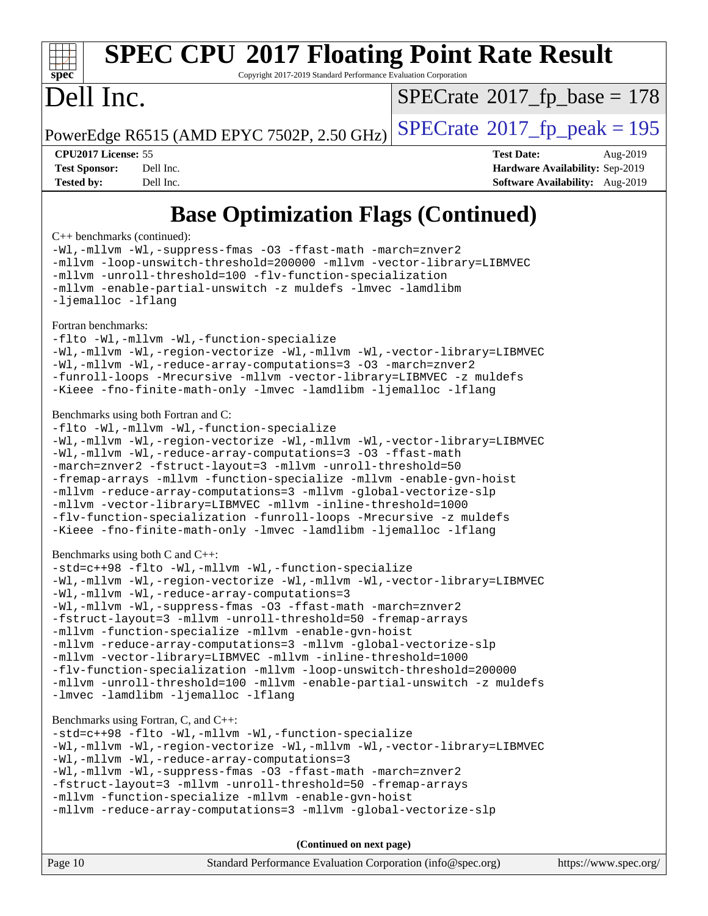

# **[SPEC CPU](http://www.spec.org/auto/cpu2017/Docs/result-fields.html#SPECCPU2017FloatingPointRateResult)[2017 Floating Point Rate Result](http://www.spec.org/auto/cpu2017/Docs/result-fields.html#SPECCPU2017FloatingPointRateResult)**

Copyright 2017-2019 Standard Performance Evaluation Corporation

## Dell Inc.

 $SPECTate$ <sup>®</sup>[2017\\_fp\\_base =](http://www.spec.org/auto/cpu2017/Docs/result-fields.html#SPECrate2017fpbase) 178

PowerEdge R6515 (AMD EPYC 7502P, 2.50 GHz)  $\text{SPECrate}^{\circ}2017$  $\text{SPECrate}^{\circ}2017$  $\text{SPECrate}^{\circ}2017$  fp peak = 195

**[CPU2017 License:](http://www.spec.org/auto/cpu2017/Docs/result-fields.html#CPU2017License)** 55 **[Test Date:](http://www.spec.org/auto/cpu2017/Docs/result-fields.html#TestDate)** Aug-2019 **[Test Sponsor:](http://www.spec.org/auto/cpu2017/Docs/result-fields.html#TestSponsor)** Dell Inc. **[Hardware Availability:](http://www.spec.org/auto/cpu2017/Docs/result-fields.html#HardwareAvailability)** Sep-2019 **[Tested by:](http://www.spec.org/auto/cpu2017/Docs/result-fields.html#Testedby)** Dell Inc. **[Software Availability:](http://www.spec.org/auto/cpu2017/Docs/result-fields.html#SoftwareAvailability)** Aug-2019

### **[Base Optimization Flags \(Continued\)](http://www.spec.org/auto/cpu2017/Docs/result-fields.html#BaseOptimizationFlags)**

[C++ benchmarks](http://www.spec.org/auto/cpu2017/Docs/result-fields.html#CXXbenchmarks) (continued):

[-Wl,-mllvm -Wl,-suppress-fmas](http://www.spec.org/cpu2017/results/res2019q3/cpu2017-20190831-17288.flags.html#user_CXXbase_F-suppress-fmas_f00f00630e4a059e8af9c161e9bbf420bcf19890a7f99d5933525e66aa4b0bb3ab2339d2b12d97d3a5f5d271e839fe9c109938e91fe06230fb53651590cfa1e8) [-O3](http://www.spec.org/cpu2017/results/res2019q3/cpu2017-20190831-17288.flags.html#user_CXXbase_F-O3) [-ffast-math](http://www.spec.org/cpu2017/results/res2019q3/cpu2017-20190831-17288.flags.html#user_CXXbase_aocc-ffast-math) [-march=znver2](http://www.spec.org/cpu2017/results/res2019q3/cpu2017-20190831-17288.flags.html#user_CXXbase_aocc-march_3e2e19cff2eeef60c5d90b059483627c9ea47eca6d66670dbd53f9185f6439e27eb5e104cf773e9e8ab18c8842ce63e461a3e948d0214bd567ef3ade411bf467) [-mllvm -loop-unswitch-threshold=200000](http://www.spec.org/cpu2017/results/res2019q3/cpu2017-20190831-17288.flags.html#user_CXXbase_F-loop-unswitch-threshold_f9a82ae3270e55b5fbf79d0d96ee93606b73edbbe527d20b18b7bff1a3a146ad50cfc7454c5297978340ae9213029016a7d16221274d672d3f7f42ed25274e1d) [-mllvm -vector-library=LIBMVEC](http://www.spec.org/cpu2017/results/res2019q3/cpu2017-20190831-17288.flags.html#user_CXXbase_F-use-vector-library_e584e20b4f7ec96aa109254b65d8e01d864f3d68580371b9d93ed7c338191d4cfce20c3c864632264effc6bbe4c7c38153d02096a342ee92501c4a53204a7871) [-mllvm -unroll-threshold=100](http://www.spec.org/cpu2017/results/res2019q3/cpu2017-20190831-17288.flags.html#user_CXXbase_F-unroll-threshold_2755d0c78138845d361fa1543e3a063fffa198df9b3edf0cfb856bbc88a81e1769b12ac7a550c5d35197be55360db1a3f95a8d1304df999456cabf5120c45168) [-flv-function-specialization](http://www.spec.org/cpu2017/results/res2019q3/cpu2017-20190831-17288.flags.html#user_CXXbase_F-flv-function-specialization) [-mllvm -enable-partial-unswitch](http://www.spec.org/cpu2017/results/res2019q3/cpu2017-20190831-17288.flags.html#user_CXXbase_F-enable-partial-unswitch_6e1c33f981d77963b1eaf834973128a7f33ce3f8e27f54689656697a35e89dcc875281e0e6283d043e32f367dcb605ba0e307a92e830f7e326789fa6c61b35d3) [-z muldefs](http://www.spec.org/cpu2017/results/res2019q3/cpu2017-20190831-17288.flags.html#user_CXXbase_aocc-muldefs) [-lmvec](http://www.spec.org/cpu2017/results/res2019q3/cpu2017-20190831-17288.flags.html#user_CXXbase_F-lmvec) [-lamdlibm](http://www.spec.org/cpu2017/results/res2019q3/cpu2017-20190831-17288.flags.html#user_CXXbase_F-lamdlibm) [-ljemalloc](http://www.spec.org/cpu2017/results/res2019q3/cpu2017-20190831-17288.flags.html#user_CXXbase_jemalloc-lib) [-lflang](http://www.spec.org/cpu2017/results/res2019q3/cpu2017-20190831-17288.flags.html#user_CXXbase_F-lflang)

### [Fortran benchmarks](http://www.spec.org/auto/cpu2017/Docs/result-fields.html#Fortranbenchmarks):

[-flto](http://www.spec.org/cpu2017/results/res2019q3/cpu2017-20190831-17288.flags.html#user_FCbase_aocc-flto) [-Wl,-mllvm -Wl,-function-specialize](http://www.spec.org/cpu2017/results/res2019q3/cpu2017-20190831-17288.flags.html#user_FCbase_F-function-specialize_7e7e661e57922243ee67c9a1251cb8910e607325179a0ce7f2884e09a6f5d4a5ef0ae4f37e8a2a11c95fc48e931f06dc2b6016f14b511fcb441e048bef1b065a) [-Wl,-mllvm -Wl,-region-vectorize](http://www.spec.org/cpu2017/results/res2019q3/cpu2017-20190831-17288.flags.html#user_FCbase_F-region-vectorize_fb6c6b5aa293c88efc6c7c2b52b20755e943585b1fe8658c35afef78727fff56e1a56891413c30e36b8e2a6f9a71126986319243e80eb6110b78b288f533c52b) [-Wl,-mllvm -Wl,-vector-library=LIBMVEC](http://www.spec.org/cpu2017/results/res2019q3/cpu2017-20190831-17288.flags.html#user_FCbase_F-use-vector-library_0a14b27fae317f283640384a31f7bfcc2bd4c1d0b5cfc618a3a430800c9b20217b00f61303eff223a3251b4f06ffbc9739dc5296db9d1fbb9ad24a3939d86d66) [-Wl,-mllvm -Wl,-reduce-array-computations=3](http://www.spec.org/cpu2017/results/res2019q3/cpu2017-20190831-17288.flags.html#user_FCbase_F-reduce-array-computations_b882aefe7a5dda4e33149f6299762b9a720dace3e498e13756f4c04e5a19edf5315c1f3993de2e61ec41e8c206231f84e05da7040e1bb5d69ba27d10a12507e4) [-O3](http://www.spec.org/cpu2017/results/res2019q3/cpu2017-20190831-17288.flags.html#user_FCbase_F-O3) [-march=znver2](http://www.spec.org/cpu2017/results/res2019q3/cpu2017-20190831-17288.flags.html#user_FCbase_aocc-march_3e2e19cff2eeef60c5d90b059483627c9ea47eca6d66670dbd53f9185f6439e27eb5e104cf773e9e8ab18c8842ce63e461a3e948d0214bd567ef3ade411bf467) [-funroll-loops](http://www.spec.org/cpu2017/results/res2019q3/cpu2017-20190831-17288.flags.html#user_FCbase_aocc-unroll-loops) [-Mrecursive](http://www.spec.org/cpu2017/results/res2019q3/cpu2017-20190831-17288.flags.html#user_FCbase_F-mrecursive_20a145d63f12d5750a899e17d4450b5b8b40330a9bb4af13688ca650e6fb30857bbbe44fb35cdbb895df6e5b2769de0a0d7659f51ff17acfbef6febafec4023f) [-mllvm -vector-library=LIBMVEC](http://www.spec.org/cpu2017/results/res2019q3/cpu2017-20190831-17288.flags.html#user_FCbase_F-use-vector-library_e584e20b4f7ec96aa109254b65d8e01d864f3d68580371b9d93ed7c338191d4cfce20c3c864632264effc6bbe4c7c38153d02096a342ee92501c4a53204a7871) [-z muldefs](http://www.spec.org/cpu2017/results/res2019q3/cpu2017-20190831-17288.flags.html#user_FCbase_aocc-muldefs) [-Kieee](http://www.spec.org/cpu2017/results/res2019q3/cpu2017-20190831-17288.flags.html#user_FCbase_F-kieee) [-fno-finite-math-only](http://www.spec.org/cpu2017/results/res2019q3/cpu2017-20190831-17288.flags.html#user_FCbase_aocc-fno-finite-math-only) [-lmvec](http://www.spec.org/cpu2017/results/res2019q3/cpu2017-20190831-17288.flags.html#user_FCbase_F-lmvec) [-lamdlibm](http://www.spec.org/cpu2017/results/res2019q3/cpu2017-20190831-17288.flags.html#user_FCbase_F-lamdlibm) [-ljemalloc](http://www.spec.org/cpu2017/results/res2019q3/cpu2017-20190831-17288.flags.html#user_FCbase_jemalloc-lib) [-lflang](http://www.spec.org/cpu2017/results/res2019q3/cpu2017-20190831-17288.flags.html#user_FCbase_F-lflang)

### [Benchmarks using both Fortran and C](http://www.spec.org/auto/cpu2017/Docs/result-fields.html#BenchmarksusingbothFortranandC):

```
-flto -Wl,-mllvm -Wl,-function-specialize
-Wl,-mllvm -Wl,-region-vectorize -Wl,-mllvm -Wl,-vector-library=LIBMVEC
-Wl,-mllvm -Wl,-reduce-array-computations=3 -O3 -ffast-math
-march=znver2 -fstruct-layout=3 -mllvm -unroll-threshold=50
-fremap-arrays -mllvm -function-specialize -mllvm -enable-gvn-hoist
-mllvm -reduce-array-computations=3 -mllvm -global-vectorize-slp
-mllvm -vector-library=LIBMVEC -mllvm -inline-threshold=1000
-flv-function-specialization -funroll-loops -Mrecursive -z muldefs
-Kieee -fno-finite-math-only -lmvec -lamdlibm -ljemalloc -lflang
```
### [Benchmarks using both C and C++](http://www.spec.org/auto/cpu2017/Docs/result-fields.html#BenchmarksusingbothCandCXX):

```
-std=c++98 -flto -Wl,-mllvm -Wl,-function-specialize
-Wl,-mllvm -Wl,-region-vectorize -Wl,-mllvm -Wl,-vector-library=LIBMVEC
-Wl,-mllvm -Wl,-reduce-array-computations=3
-Wl,-mllvm -Wl,-suppress-fmas -O3 -ffast-math -march=znver2
-fstruct-layout=3 -mllvm -unroll-threshold=50 -fremap-arrays
-mllvm -function-specialize -mllvm -enable-gvn-hoist
-mllvm -reduce-array-computations=3 -mllvm -global-vectorize-slp
-mllvm -vector-library=LIBMVEC -mllvm -inline-threshold=1000
-flv-function-specialization -mllvm -loop-unswitch-threshold=200000
-mllvm -unroll-threshold=100 -mllvm -enable-partial-unswitch -z muldefs
-lmvec-lamdlibm-ljemalloc-lflang
```
### [Benchmarks using Fortran, C, and C++:](http://www.spec.org/auto/cpu2017/Docs/result-fields.html#BenchmarksusingFortranCandCXX)

```
-std=c++98 -flto -Wl,-mllvm -Wl,-function-specialize
-Wl,-mllvm -Wl,-region-vectorize -Wl,-mllvm -Wl,-vector-library=LIBMVEC
-Wl,-mllvm -Wl,-reduce-array-computations=3
-Wl,-mllvm -Wl,-suppress-fmas -O3 -ffast-math -march=znver2
-fstruct-layout=3 -mllvm -unroll-threshold=50 -fremap-arrays
-mllvm -function-specialize -mllvm -enable-gvn-hoist
-mllvm -reduce-array-computations=3 -mllvm -global-vectorize-slp
```

| Page 10 | Standard Performance Evaluation Corporation (info@spec.org) |  | https://www.spec.org/ |
|---------|-------------------------------------------------------------|--|-----------------------|
|---------|-------------------------------------------------------------|--|-----------------------|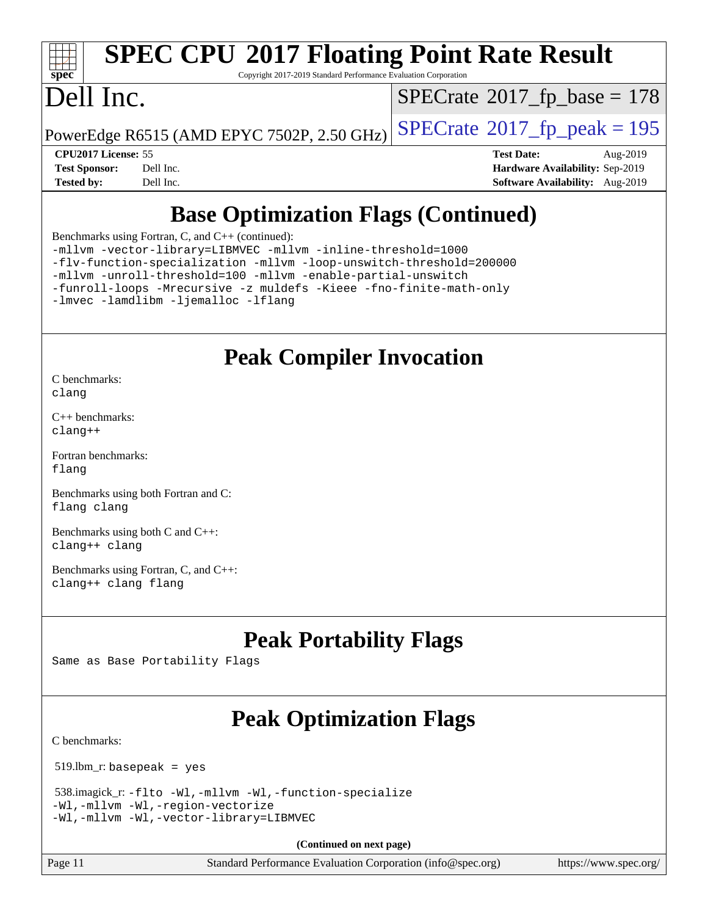

# **[SPEC CPU](http://www.spec.org/auto/cpu2017/Docs/result-fields.html#SPECCPU2017FloatingPointRateResult)[2017 Floating Point Rate Result](http://www.spec.org/auto/cpu2017/Docs/result-fields.html#SPECCPU2017FloatingPointRateResult)**

Copyright 2017-2019 Standard Performance Evaluation Corporation

## Dell Inc.

 $SPECrate$ <sup>®</sup>[2017\\_fp\\_base =](http://www.spec.org/auto/cpu2017/Docs/result-fields.html#SPECrate2017fpbase) 178

PowerEdge R6515 (AMD EPYC 7502P, 2.50 GHz)  $\left|$  [SPECrate](http://www.spec.org/auto/cpu2017/Docs/result-fields.html#SPECrate2017fppeak)®[2017\\_fp\\_peak = 1](http://www.spec.org/auto/cpu2017/Docs/result-fields.html#SPECrate2017fppeak)95

**[CPU2017 License:](http://www.spec.org/auto/cpu2017/Docs/result-fields.html#CPU2017License)** 55 **[Test Date:](http://www.spec.org/auto/cpu2017/Docs/result-fields.html#TestDate)** Aug-2019 **[Test Sponsor:](http://www.spec.org/auto/cpu2017/Docs/result-fields.html#TestSponsor)** Dell Inc. **[Hardware Availability:](http://www.spec.org/auto/cpu2017/Docs/result-fields.html#HardwareAvailability)** Sep-2019 **[Tested by:](http://www.spec.org/auto/cpu2017/Docs/result-fields.html#Testedby)** Dell Inc. **[Software Availability:](http://www.spec.org/auto/cpu2017/Docs/result-fields.html#SoftwareAvailability)** Aug-2019

### **[Base Optimization Flags \(Continued\)](http://www.spec.org/auto/cpu2017/Docs/result-fields.html#BaseOptimizationFlags)**

[Benchmarks using Fortran, C, and C++](http://www.spec.org/auto/cpu2017/Docs/result-fields.html#BenchmarksusingFortranCandCXX) (continued):

[-mllvm -vector-library=LIBMVEC](http://www.spec.org/cpu2017/results/res2019q3/cpu2017-20190831-17288.flags.html#user_CC_CXX_FCbase_F-use-vector-library_e584e20b4f7ec96aa109254b65d8e01d864f3d68580371b9d93ed7c338191d4cfce20c3c864632264effc6bbe4c7c38153d02096a342ee92501c4a53204a7871) [-mllvm -inline-threshold=1000](http://www.spec.org/cpu2017/results/res2019q3/cpu2017-20190831-17288.flags.html#user_CC_CXX_FCbase_dragonegg-llvm-inline-threshold_b7832241b0a6397e4ecdbaf0eb7defdc10f885c2a282fa3240fdc99844d543fda39cf8a4a9dccf68cf19b5438ac3b455264f478df15da0f4988afa40d8243bab) [-flv-function-specialization](http://www.spec.org/cpu2017/results/res2019q3/cpu2017-20190831-17288.flags.html#user_CC_CXX_FCbase_F-flv-function-specialization) [-mllvm -loop-unswitch-threshold=200000](http://www.spec.org/cpu2017/results/res2019q3/cpu2017-20190831-17288.flags.html#user_CC_CXX_FCbase_F-loop-unswitch-threshold_f9a82ae3270e55b5fbf79d0d96ee93606b73edbbe527d20b18b7bff1a3a146ad50cfc7454c5297978340ae9213029016a7d16221274d672d3f7f42ed25274e1d) [-mllvm -unroll-threshold=100](http://www.spec.org/cpu2017/results/res2019q3/cpu2017-20190831-17288.flags.html#user_CC_CXX_FCbase_F-unroll-threshold_2755d0c78138845d361fa1543e3a063fffa198df9b3edf0cfb856bbc88a81e1769b12ac7a550c5d35197be55360db1a3f95a8d1304df999456cabf5120c45168) [-mllvm -enable-partial-unswitch](http://www.spec.org/cpu2017/results/res2019q3/cpu2017-20190831-17288.flags.html#user_CC_CXX_FCbase_F-enable-partial-unswitch_6e1c33f981d77963b1eaf834973128a7f33ce3f8e27f54689656697a35e89dcc875281e0e6283d043e32f367dcb605ba0e307a92e830f7e326789fa6c61b35d3)

[-funroll-loops](http://www.spec.org/cpu2017/results/res2019q3/cpu2017-20190831-17288.flags.html#user_CC_CXX_FCbase_aocc-unroll-loops) [-Mrecursive](http://www.spec.org/cpu2017/results/res2019q3/cpu2017-20190831-17288.flags.html#user_CC_CXX_FCbase_F-mrecursive_20a145d63f12d5750a899e17d4450b5b8b40330a9bb4af13688ca650e6fb30857bbbe44fb35cdbb895df6e5b2769de0a0d7659f51ff17acfbef6febafec4023f) [-z muldefs](http://www.spec.org/cpu2017/results/res2019q3/cpu2017-20190831-17288.flags.html#user_CC_CXX_FCbase_aocc-muldefs) [-Kieee](http://www.spec.org/cpu2017/results/res2019q3/cpu2017-20190831-17288.flags.html#user_CC_CXX_FCbase_F-kieee) [-fno-finite-math-only](http://www.spec.org/cpu2017/results/res2019q3/cpu2017-20190831-17288.flags.html#user_CC_CXX_FCbase_aocc-fno-finite-math-only)

[-lmvec](http://www.spec.org/cpu2017/results/res2019q3/cpu2017-20190831-17288.flags.html#user_CC_CXX_FCbase_F-lmvec) [-lamdlibm](http://www.spec.org/cpu2017/results/res2019q3/cpu2017-20190831-17288.flags.html#user_CC_CXX_FCbase_F-lamdlibm) [-ljemalloc](http://www.spec.org/cpu2017/results/res2019q3/cpu2017-20190831-17288.flags.html#user_CC_CXX_FCbase_jemalloc-lib) [-lflang](http://www.spec.org/cpu2017/results/res2019q3/cpu2017-20190831-17288.flags.html#user_CC_CXX_FCbase_F-lflang)

### **[Peak Compiler Invocation](http://www.spec.org/auto/cpu2017/Docs/result-fields.html#PeakCompilerInvocation)**

[C benchmarks](http://www.spec.org/auto/cpu2017/Docs/result-fields.html#Cbenchmarks): [clang](http://www.spec.org/cpu2017/results/res2019q3/cpu2017-20190831-17288.flags.html#user_CCpeak_clang-c)

[C++ benchmarks:](http://www.spec.org/auto/cpu2017/Docs/result-fields.html#CXXbenchmarks) [clang++](http://www.spec.org/cpu2017/results/res2019q3/cpu2017-20190831-17288.flags.html#user_CXXpeak_clang-cpp)

[Fortran benchmarks](http://www.spec.org/auto/cpu2017/Docs/result-fields.html#Fortranbenchmarks): [flang](http://www.spec.org/cpu2017/results/res2019q3/cpu2017-20190831-17288.flags.html#user_FCpeak_flang)

[Benchmarks using both Fortran and C](http://www.spec.org/auto/cpu2017/Docs/result-fields.html#BenchmarksusingbothFortranandC): [flang](http://www.spec.org/cpu2017/results/res2019q3/cpu2017-20190831-17288.flags.html#user_CC_FCpeak_flang) [clang](http://www.spec.org/cpu2017/results/res2019q3/cpu2017-20190831-17288.flags.html#user_CC_FCpeak_clang-c)

[Benchmarks using both C and C++](http://www.spec.org/auto/cpu2017/Docs/result-fields.html#BenchmarksusingbothCandCXX): [clang++](http://www.spec.org/cpu2017/results/res2019q3/cpu2017-20190831-17288.flags.html#user_CC_CXXpeak_clang-cpp) [clang](http://www.spec.org/cpu2017/results/res2019q3/cpu2017-20190831-17288.flags.html#user_CC_CXXpeak_clang-c)

[Benchmarks using Fortran, C, and C++:](http://www.spec.org/auto/cpu2017/Docs/result-fields.html#BenchmarksusingFortranCandCXX) [clang++](http://www.spec.org/cpu2017/results/res2019q3/cpu2017-20190831-17288.flags.html#user_CC_CXX_FCpeak_clang-cpp) [clang](http://www.spec.org/cpu2017/results/res2019q3/cpu2017-20190831-17288.flags.html#user_CC_CXX_FCpeak_clang-c) [flang](http://www.spec.org/cpu2017/results/res2019q3/cpu2017-20190831-17288.flags.html#user_CC_CXX_FCpeak_flang)

## **[Peak Portability Flags](http://www.spec.org/auto/cpu2017/Docs/result-fields.html#PeakPortabilityFlags)**

Same as Base Portability Flags

## **[Peak Optimization Flags](http://www.spec.org/auto/cpu2017/Docs/result-fields.html#PeakOptimizationFlags)**

[C benchmarks](http://www.spec.org/auto/cpu2017/Docs/result-fields.html#Cbenchmarks):

519.lbm\_r: basepeak = yes

```
 538.imagick_r: -flto -Wl,-mllvm -Wl,-function-specialize
-Wl,-mllvm -Wl,-region-vectorize
-Wl,-mllvm -Wl,-vector-library=LIBMVEC
```
**(Continued on next page)**

Page 11 Standard Performance Evaluation Corporation [\(info@spec.org\)](mailto:info@spec.org) <https://www.spec.org/>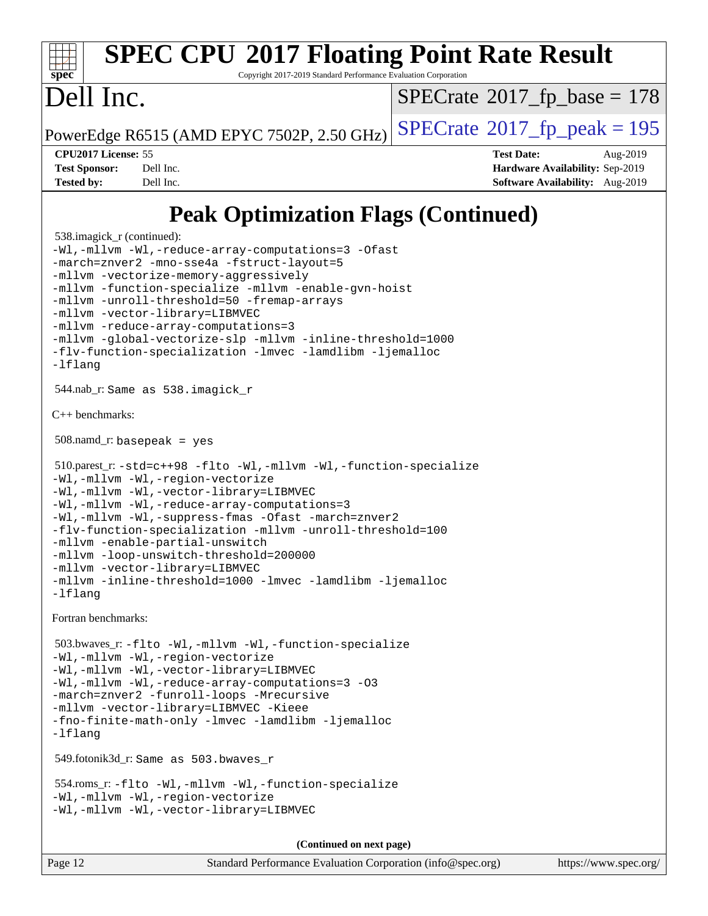### **[spec](http://www.spec.org/) [SPEC CPU](http://www.spec.org/auto/cpu2017/Docs/result-fields.html#SPECCPU2017FloatingPointRateResult)[2017 Floating Point Rate Result](http://www.spec.org/auto/cpu2017/Docs/result-fields.html#SPECCPU2017FloatingPointRateResult)** Copyright 2017-2019 Standard Performance Evaluation Corporation Dell Inc. PowerEdge R6515 (AMD EPYC 7502P, 2.50 GHz)  $\text{SPECrate}^{\circ}2017$  $\text{SPECrate}^{\circ}2017$  $\text{SPECrate}^{\circ}2017$  fp peak = 195  $SPECrate$ <sup>®</sup>[2017\\_fp\\_base =](http://www.spec.org/auto/cpu2017/Docs/result-fields.html#SPECrate2017fpbase) 178

**[CPU2017 License:](http://www.spec.org/auto/cpu2017/Docs/result-fields.html#CPU2017License)** 55 **[Test Date:](http://www.spec.org/auto/cpu2017/Docs/result-fields.html#TestDate)** Aug-2019 **[Test Sponsor:](http://www.spec.org/auto/cpu2017/Docs/result-fields.html#TestSponsor)** Dell Inc. **[Hardware Availability:](http://www.spec.org/auto/cpu2017/Docs/result-fields.html#HardwareAvailability)** Sep-2019 **[Tested by:](http://www.spec.org/auto/cpu2017/Docs/result-fields.html#Testedby)** Dell Inc. **[Software Availability:](http://www.spec.org/auto/cpu2017/Docs/result-fields.html#SoftwareAvailability)** Aug-2019

### **[Peak Optimization Flags \(Continued\)](http://www.spec.org/auto/cpu2017/Docs/result-fields.html#PeakOptimizationFlags)**

```
 538.imagick_r (continued):
-Wl,-mllvm -Wl,-reduce-array-computations=3 -Ofast
-march=znver2 -mno-sse4a -fstruct-layout=5
-mllvm -vectorize-memory-aggressively
-mllvm -function-specialize -mllvm -enable-gvn-hoist
-mllvm -unroll-threshold=50 -fremap-arrays
-mllvm -vector-library=LIBMVEC
-mllvm -reduce-array-computations=3
-mllvm -global-vectorize-slp -mllvm -inline-threshold=1000
-flv-function-specialization -lmvec -lamdlibm -ljemalloc
-lflang
 544.nab_r: Same as 538.imagick_r
C++ benchmarks: 
 508.namd_r: basepeak = yes
 510.parest_r: -std=c++98 -flto -Wl,-mllvm -Wl,-function-specialize
-Wl,-mllvm -Wl,-region-vectorize
-Wl,-mllvm -Wl,-vector-library=LIBMVEC
-Wl,-mllvm -Wl,-reduce-array-computations=3
-Wl,-mllvm -Wl,-suppress-fmas -Ofast -march=znver2
-flv-function-specialization -mllvm -unroll-threshold=100
-mllvm -enable-partial-unswitch
-mllvm -loop-unswitch-threshold=200000
-mllvm -vector-library=LIBMVEC
-mllvm -inline-threshold=1000 -lmvec -lamdlibm -ljemalloc
-lflang
Fortran benchmarks: 
 503.bwaves_r: -flto -Wl,-mllvm -Wl,-function-specialize
-Wl,-mllvm -Wl,-region-vectorize
-Wl,-mllvm -Wl,-vector-library=LIBMVEC
-Wl,-mllvm -Wl,-reduce-array-computations=3 -O3
-march=znver2 -funroll-loops -Mrecursive
-mllvm -vector-library=LIBMVEC -Kieee
-fno-finite-math-only -lmvec -lamdlibm -ljemalloc
-lflang
 549.fotonik3d_r: Same as 503.bwaves_r
 554.roms_r: -flto -Wl,-mllvm -Wl,-function-specialize
-Wl,-mllvm -Wl,-region-vectorize
-Wl,-mllvm -Wl,-vector-library=LIBMVEC
                                     (Continued on next page)
```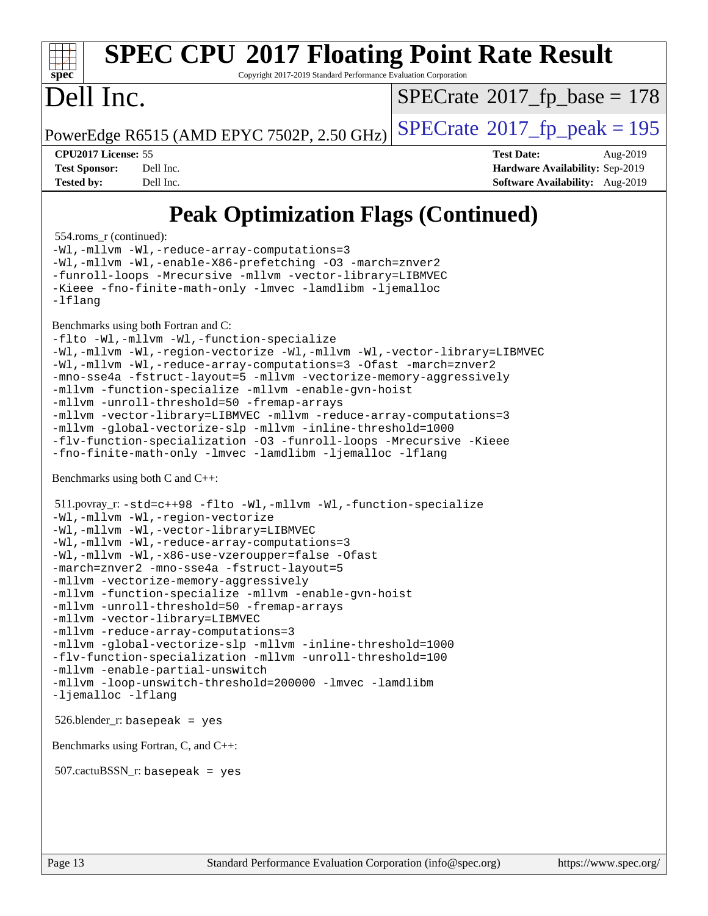

# **[SPEC CPU](http://www.spec.org/auto/cpu2017/Docs/result-fields.html#SPECCPU2017FloatingPointRateResult)[2017 Floating Point Rate Result](http://www.spec.org/auto/cpu2017/Docs/result-fields.html#SPECCPU2017FloatingPointRateResult)**

Copyright 2017-2019 Standard Performance Evaluation Corporation

## Dell Inc.

 $SPECrate$ <sup>®</sup>[2017\\_fp\\_base =](http://www.spec.org/auto/cpu2017/Docs/result-fields.html#SPECrate2017fpbase) 178

PowerEdge R6515 (AMD EPYC 7502P, 2.50 GHz)  $\text{SPECrate}^{\circ}2017$  $\text{SPECrate}^{\circ}2017$  $\text{SPECrate}^{\circ}2017$  fp peak = 195

**[CPU2017 License:](http://www.spec.org/auto/cpu2017/Docs/result-fields.html#CPU2017License)** 55 **[Test Date:](http://www.spec.org/auto/cpu2017/Docs/result-fields.html#TestDate)** Aug-2019 **[Test Sponsor:](http://www.spec.org/auto/cpu2017/Docs/result-fields.html#TestSponsor)** Dell Inc. **[Hardware Availability:](http://www.spec.org/auto/cpu2017/Docs/result-fields.html#HardwareAvailability)** Sep-2019 **[Tested by:](http://www.spec.org/auto/cpu2017/Docs/result-fields.html#Testedby)** Dell Inc. **[Software Availability:](http://www.spec.org/auto/cpu2017/Docs/result-fields.html#SoftwareAvailability)** Aug-2019

### **[Peak Optimization Flags \(Continued\)](http://www.spec.org/auto/cpu2017/Docs/result-fields.html#PeakOptimizationFlags)**

554.roms\_r (continued):

[-Wl,-mllvm -Wl,-reduce-array-computations=3](http://www.spec.org/cpu2017/results/res2019q3/cpu2017-20190831-17288.flags.html#user_peakLDFLAGS554_roms_r_F-reduce-array-computations_b882aefe7a5dda4e33149f6299762b9a720dace3e498e13756f4c04e5a19edf5315c1f3993de2e61ec41e8c206231f84e05da7040e1bb5d69ba27d10a12507e4) [-Wl,-mllvm -Wl,-enable-X86-prefetching](http://www.spec.org/cpu2017/results/res2019q3/cpu2017-20190831-17288.flags.html#user_peakLDFFLAGS554_roms_r_F-enable-X86-prefetching_362de7b2f7f327d498ff3502bcaa6d8937de40fbbc59a600e539433e6b2cb9ea5e30d4a00c3465ce74a160670b5fcaffd57d10fdc90b0d7ee2c6f387a6bf1aee) [-O3](http://www.spec.org/cpu2017/results/res2019q3/cpu2017-20190831-17288.flags.html#user_peakFOPTIMIZE554_roms_r_F-O3) [-march=znver2](http://www.spec.org/cpu2017/results/res2019q3/cpu2017-20190831-17288.flags.html#user_peakFOPTIMIZE554_roms_r_aocc-march_3e2e19cff2eeef60c5d90b059483627c9ea47eca6d66670dbd53f9185f6439e27eb5e104cf773e9e8ab18c8842ce63e461a3e948d0214bd567ef3ade411bf467) [-funroll-loops](http://www.spec.org/cpu2017/results/res2019q3/cpu2017-20190831-17288.flags.html#user_peakFOPTIMIZE554_roms_r_aocc-unroll-loops) [-Mrecursive](http://www.spec.org/cpu2017/results/res2019q3/cpu2017-20190831-17288.flags.html#user_peakFOPTIMIZE554_roms_r_F-mrecursive_20a145d63f12d5750a899e17d4450b5b8b40330a9bb4af13688ca650e6fb30857bbbe44fb35cdbb895df6e5b2769de0a0d7659f51ff17acfbef6febafec4023f) [-mllvm -vector-library=LIBMVEC](http://www.spec.org/cpu2017/results/res2019q3/cpu2017-20190831-17288.flags.html#user_peakFOPTIMIZE554_roms_r_F-use-vector-library_e584e20b4f7ec96aa109254b65d8e01d864f3d68580371b9d93ed7c338191d4cfce20c3c864632264effc6bbe4c7c38153d02096a342ee92501c4a53204a7871) [-Kieee](http://www.spec.org/cpu2017/results/res2019q3/cpu2017-20190831-17288.flags.html#user_peakEXTRA_FFLAGS554_roms_r_F-kieee) [-fno-finite-math-only](http://www.spec.org/cpu2017/results/res2019q3/cpu2017-20190831-17288.flags.html#user_peakEXTRA_FFLAGS554_roms_r_aocc-fno-finite-math-only) [-lmvec](http://www.spec.org/cpu2017/results/res2019q3/cpu2017-20190831-17288.flags.html#user_peakEXTRA_FLIBSEXTRA_LIBS554_roms_r_F-lmvec) [-lamdlibm](http://www.spec.org/cpu2017/results/res2019q3/cpu2017-20190831-17288.flags.html#user_peakEXTRA_FLIBSEXTRA_LIBS554_roms_r_F-lamdlibm) [-ljemalloc](http://www.spec.org/cpu2017/results/res2019q3/cpu2017-20190831-17288.flags.html#user_peakEXTRA_LIBS554_roms_r_jemalloc-lib) [-lflang](http://www.spec.org/cpu2017/results/res2019q3/cpu2017-20190831-17288.flags.html#user_peakEXTRA_LIBS554_roms_r_F-lflang) [Benchmarks using both Fortran and C](http://www.spec.org/auto/cpu2017/Docs/result-fields.html#BenchmarksusingbothFortranandC): [-flto](http://www.spec.org/cpu2017/results/res2019q3/cpu2017-20190831-17288.flags.html#user_CC_FCpeak_aocc-flto) [-Wl,-mllvm -Wl,-function-specialize](http://www.spec.org/cpu2017/results/res2019q3/cpu2017-20190831-17288.flags.html#user_CC_FCpeak_F-function-specialize_7e7e661e57922243ee67c9a1251cb8910e607325179a0ce7f2884e09a6f5d4a5ef0ae4f37e8a2a11c95fc48e931f06dc2b6016f14b511fcb441e048bef1b065a) [-Wl,-mllvm -Wl,-region-vectorize](http://www.spec.org/cpu2017/results/res2019q3/cpu2017-20190831-17288.flags.html#user_CC_FCpeak_F-region-vectorize_fb6c6b5aa293c88efc6c7c2b52b20755e943585b1fe8658c35afef78727fff56e1a56891413c30e36b8e2a6f9a71126986319243e80eb6110b78b288f533c52b) [-Wl,-mllvm -Wl,-vector-library=LIBMVEC](http://www.spec.org/cpu2017/results/res2019q3/cpu2017-20190831-17288.flags.html#user_CC_FCpeak_F-use-vector-library_0a14b27fae317f283640384a31f7bfcc2bd4c1d0b5cfc618a3a430800c9b20217b00f61303eff223a3251b4f06ffbc9739dc5296db9d1fbb9ad24a3939d86d66) [-Wl,-mllvm -Wl,-reduce-array-computations=3](http://www.spec.org/cpu2017/results/res2019q3/cpu2017-20190831-17288.flags.html#user_CC_FCpeak_F-reduce-array-computations_b882aefe7a5dda4e33149f6299762b9a720dace3e498e13756f4c04e5a19edf5315c1f3993de2e61ec41e8c206231f84e05da7040e1bb5d69ba27d10a12507e4) [-Ofast](http://www.spec.org/cpu2017/results/res2019q3/cpu2017-20190831-17288.flags.html#user_CC_FCpeak_aocc-Ofast) [-march=znver2](http://www.spec.org/cpu2017/results/res2019q3/cpu2017-20190831-17288.flags.html#user_CC_FCpeak_aocc-march_3e2e19cff2eeef60c5d90b059483627c9ea47eca6d66670dbd53f9185f6439e27eb5e104cf773e9e8ab18c8842ce63e461a3e948d0214bd567ef3ade411bf467) [-mno-sse4a](http://www.spec.org/cpu2017/results/res2019q3/cpu2017-20190831-17288.flags.html#user_CC_FCpeak_F-mno-sse4a) [-fstruct-layout=5](http://www.spec.org/cpu2017/results/res2019q3/cpu2017-20190831-17288.flags.html#user_CC_FCpeak_F-struct-layout_0de9d3561e9f54a54e0843cce081bd13a08ab3e9a82696f3346606c2e11360c37113781019b02fa128d9f650e68f1ffd209bab5c3a026c1ad23e4e7f60646b23) [-mllvm -vectorize-memory-aggressively](http://www.spec.org/cpu2017/results/res2019q3/cpu2017-20190831-17288.flags.html#user_CC_FCpeak_F-vectorize-memory-aggressively_24b72a4417f50ade9e698c5b3bed87ab456cc6fc8ec6439480cb84f36ad6a3975af6e87206dea402e3871a1464ff3d60bc798e0250f330177ba629a260df1857) [-mllvm -function-specialize](http://www.spec.org/cpu2017/results/res2019q3/cpu2017-20190831-17288.flags.html#user_CC_FCpeak_F-function-specialize_233b3bdba86027f1b094368157e481c5bc59f40286dc25bfadc1858dcd5745c24fd30d5f188710db7fea399bcc9f44a80b3ce3aacc70a8870250c3ae5e1f35b8) [-mllvm -enable-gvn-hoist](http://www.spec.org/cpu2017/results/res2019q3/cpu2017-20190831-17288.flags.html#user_CC_FCpeak_F-enable-gvn-hoist_e5856354646dd6ca1333a0ad99b817e4cf8932b91b82809fd8fd47ceff7b22a89eba5c98fd3e3fa5200368fd772cec3dd56abc3c8f7b655a71b9f9848dddedd5) [-mllvm -unroll-threshold=50](http://www.spec.org/cpu2017/results/res2019q3/cpu2017-20190831-17288.flags.html#user_CC_FCpeak_F-unroll-threshold_458874500b2c105d6d5cb4d7a611c40e2b16e9e3d26b355fea72d644c3673b4de4b3932662f0ed3dbec75c491a13da2d2ca81180bd779dc531083ef1e1e549dc) [-fremap-arrays](http://www.spec.org/cpu2017/results/res2019q3/cpu2017-20190831-17288.flags.html#user_CC_FCpeak_F-fremap-arrays) [-mllvm -vector-library=LIBMVEC](http://www.spec.org/cpu2017/results/res2019q3/cpu2017-20190831-17288.flags.html#user_CC_FCpeak_F-use-vector-library_e584e20b4f7ec96aa109254b65d8e01d864f3d68580371b9d93ed7c338191d4cfce20c3c864632264effc6bbe4c7c38153d02096a342ee92501c4a53204a7871) [-mllvm -reduce-array-computations=3](http://www.spec.org/cpu2017/results/res2019q3/cpu2017-20190831-17288.flags.html#user_CC_FCpeak_F-reduce-array-computations_aceadb8604558b566e0e3a0d7a3c1533923dd1fa0889614e16288028922629a28d5695c24d3b3be4306b1e311c54317dfffe3a2e57fbcaabc737a1798de39145) [-mllvm -global-vectorize-slp](http://www.spec.org/cpu2017/results/res2019q3/cpu2017-20190831-17288.flags.html#user_CC_FCpeak_F-global-vectorize-slp_a3935e8627af4ced727033b1ffd4db27f4d541a363d28d82bf4c2925fb3a0fd4115d6e42d13a2829f9e024d6608eb67a85cb49770f2da5c5ac8dbc737afad603) [-mllvm -inline-threshold=1000](http://www.spec.org/cpu2017/results/res2019q3/cpu2017-20190831-17288.flags.html#user_CC_FCpeak_dragonegg-llvm-inline-threshold_b7832241b0a6397e4ecdbaf0eb7defdc10f885c2a282fa3240fdc99844d543fda39cf8a4a9dccf68cf19b5438ac3b455264f478df15da0f4988afa40d8243bab) [-flv-function-specialization](http://www.spec.org/cpu2017/results/res2019q3/cpu2017-20190831-17288.flags.html#user_CC_FCpeak_F-flv-function-specialization) [-O3](http://www.spec.org/cpu2017/results/res2019q3/cpu2017-20190831-17288.flags.html#user_CC_FCpeak_F-O3) [-funroll-loops](http://www.spec.org/cpu2017/results/res2019q3/cpu2017-20190831-17288.flags.html#user_CC_FCpeak_aocc-unroll-loops) [-Mrecursive](http://www.spec.org/cpu2017/results/res2019q3/cpu2017-20190831-17288.flags.html#user_CC_FCpeak_F-mrecursive_20a145d63f12d5750a899e17d4450b5b8b40330a9bb4af13688ca650e6fb30857bbbe44fb35cdbb895df6e5b2769de0a0d7659f51ff17acfbef6febafec4023f) [-Kieee](http://www.spec.org/cpu2017/results/res2019q3/cpu2017-20190831-17288.flags.html#user_CC_FCpeak_F-kieee) [-fno-finite-math-only](http://www.spec.org/cpu2017/results/res2019q3/cpu2017-20190831-17288.flags.html#user_CC_FCpeak_aocc-fno-finite-math-only) [-lmvec](http://www.spec.org/cpu2017/results/res2019q3/cpu2017-20190831-17288.flags.html#user_CC_FCpeak_F-lmvec) [-lamdlibm](http://www.spec.org/cpu2017/results/res2019q3/cpu2017-20190831-17288.flags.html#user_CC_FCpeak_F-lamdlibm) [-ljemalloc](http://www.spec.org/cpu2017/results/res2019q3/cpu2017-20190831-17288.flags.html#user_CC_FCpeak_jemalloc-lib) [-lflang](http://www.spec.org/cpu2017/results/res2019q3/cpu2017-20190831-17288.flags.html#user_CC_FCpeak_F-lflang) [Benchmarks using both C and C++](http://www.spec.org/auto/cpu2017/Docs/result-fields.html#BenchmarksusingbothCandCXX): 511.povray\_r: [-std=c++98](http://www.spec.org/cpu2017/results/res2019q3/cpu2017-20190831-17288.flags.html#user_peakCXXLD511_povray_r_std-cpp) [-flto](http://www.spec.org/cpu2017/results/res2019q3/cpu2017-20190831-17288.flags.html#user_peakCOPTIMIZECXXOPTIMIZELDFLAGS511_povray_r_aocc-flto) [-Wl,-mllvm -Wl,-function-specialize](http://www.spec.org/cpu2017/results/res2019q3/cpu2017-20190831-17288.flags.html#user_peakLDFLAGS511_povray_r_F-function-specialize_7e7e661e57922243ee67c9a1251cb8910e607325179a0ce7f2884e09a6f5d4a5ef0ae4f37e8a2a11c95fc48e931f06dc2b6016f14b511fcb441e048bef1b065a)

```
-Wl,-mllvm -Wl,-region-vectorize
-Wl,-mllvm -Wl,-vector-library=LIBMVEC
-Wl,-mllvm -Wl,-reduce-array-computations=3
-Wl,-mllvm -Wl,-x86-use-vzeroupper=false -Ofast
-march=znver2 -mno-sse4a -fstruct-layout=5
-mllvm -vectorize-memory-aggressively
-mllvm -function-specialize -mllvm -enable-gvn-hoist
-mllvm -unroll-threshold=50 -fremap-arrays
-mllvm -vector-library=LIBMVEC
-mllvm -reduce-array-computations=3
-mllvm -global-vectorize-slp -mllvm -inline-threshold=1000
-flv-function-specialization -mllvm -unroll-threshold=100
-mllvm -enable-partial-unswitch
-mllvm -loop-unswitch-threshold=200000 -lmvec -lamdlibm
-ljemalloc -lflang
```
526.blender\_r: basepeak = yes

[Benchmarks using Fortran, C, and C++:](http://www.spec.org/auto/cpu2017/Docs/result-fields.html#BenchmarksusingFortranCandCXX)

507.cactuBSSN\_r: basepeak = yes